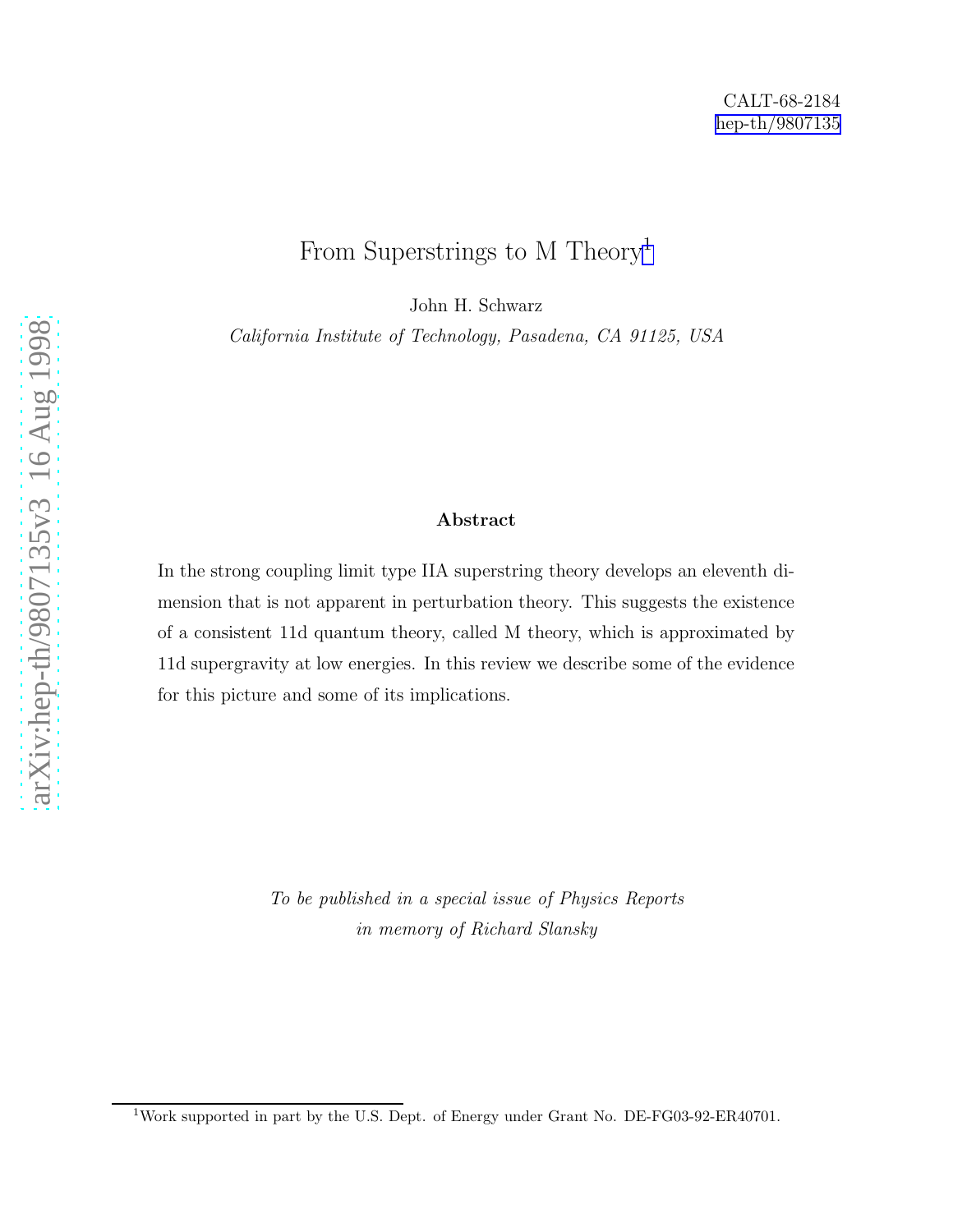## From Superstrings to M Theory 1

John H. Schwarz

California Institute of Technology, Pasadena, CA 91125, USA

#### Abstract

In the strong coupling limit type IIA superstring theory develops an eleventh dimension that is not apparent in perturbation theory. This suggests the existence of a consistent 11d quantum theory, called M theory, which is approximated by 11d supergravity at low energies. In this review we describe some of the evidence for this picture and some of its implications.

> To be published in a special issue of Physics Reports in memory of Richard Slansky

<sup>&</sup>lt;sup>1</sup>Work supported in part by the U.S. Dept. of Energy under Grant No. DE-FG03-92-ER40701.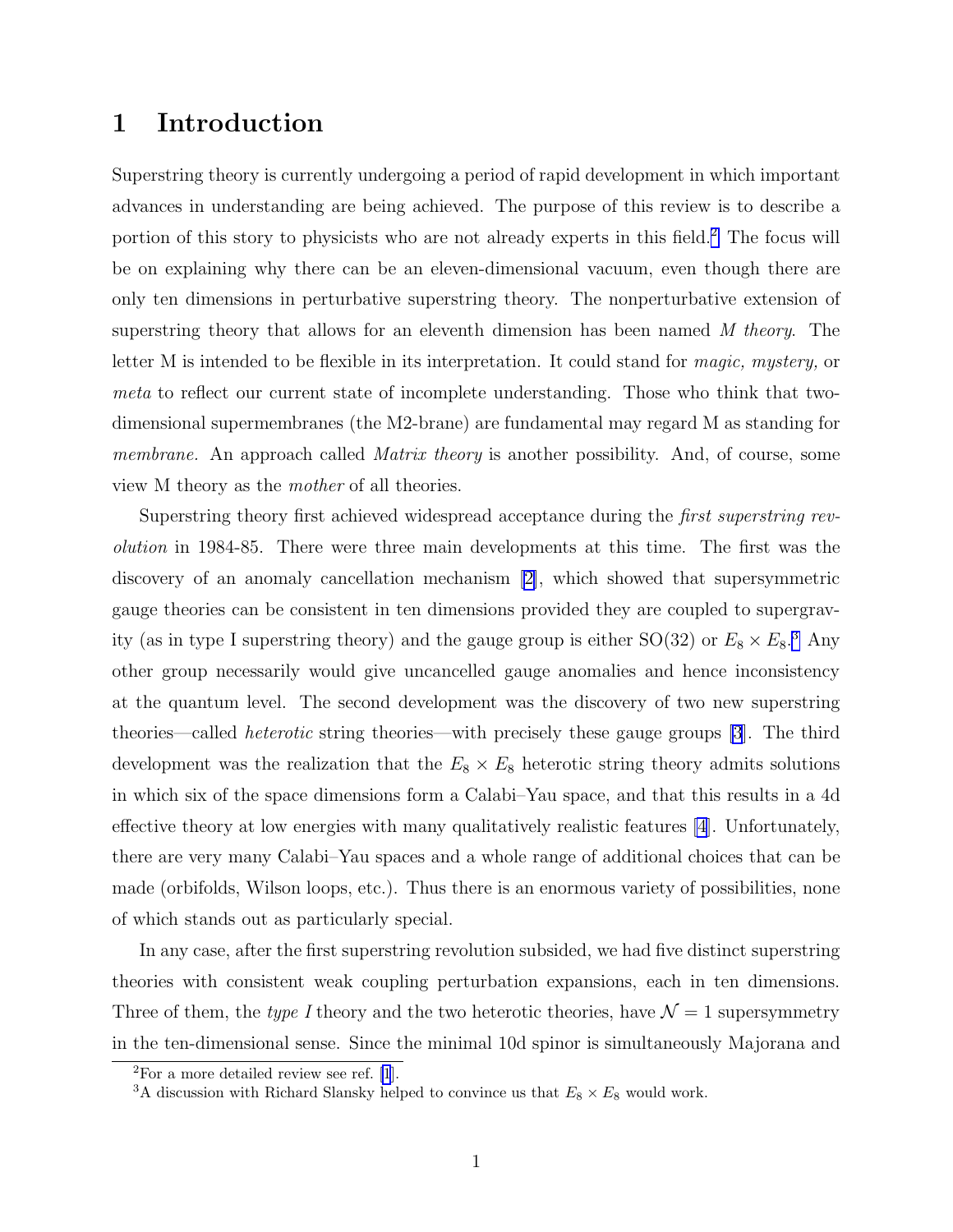### 1 Introduction

Superstring theory is currently undergoing a period of rapid development in which important advances in understanding are being achieved. The purpose of this review is to describe a portion of this story to physicists who are not already experts in this field.<sup>2</sup> The focus will be on explaining why there can be an eleven-dimensional vacuum, even though there are only ten dimensions in perturbative superstring theory. The nonperturbative extension of superstring theory that allows for an eleventh dimension has been named M theory. The letter M is intended to be flexible in its interpretation. It could stand for magic, mystery, or meta to reflect our current state of incomplete understanding. Those who think that twodimensional supermembranes (the M2-brane) are fundamental may regard M as standing for membrane. An approach called *Matrix theory* is another possibility. And, of course, some view M theory as the mother of all theories.

Superstring theory first achieved widespread acceptance during the *first superstring rev*olution in 1984-85. There were three main developments at this time. The first was the discovery of an anomaly cancellation mechanism [\[2\]](#page-18-0), which showed that supersymmetric gauge theories can be consistent in ten dimensions provided they are coupled to supergravity (as in type I superstring theory) and the gauge group is either  $SO(32)$  or  $E_8 \times E_8$ <sup>3</sup>. Any other group necessarily would give uncancelled gauge anomalies and hence inconsistency at the quantum level. The second development was the discovery of two new superstring theories—called heterotic string theories—with precisely these gauge groups [\[3](#page-18-0)]. The third development was the realization that the  $E_8 \times E_8$  heterotic string theory admits solutions in which six of the space dimensions form a Calabi–Yau space, and that this results in a 4d effective theory at low energies with many qualitatively realistic features [\[4](#page-18-0)]. Unfortunately, there are very many Calabi–Yau spaces and a whole range of additional choices that can be made (orbifolds, Wilson loops, etc.). Thus there is an enormous variety of possibilities, none of which stands out as particularly special.

In any case, after the first superstring revolution subsided, we had five distinct superstring theories with consistent weak coupling perturbation expansions, each in ten dimensions. Three of them, the type I theory and the two heterotic theories, have  $\mathcal{N}=1$  supersymmetry in the ten-dimensional sense. Since the minimal 10d spinor is simultaneously Majorana and

 ${}^{2}$ For a more detailed review see ref. [\[1](#page-17-0)].

<sup>&</sup>lt;sup>3</sup>A discussion with Richard Slansky helped to convince us that  $E_8 \times E_8$  would work.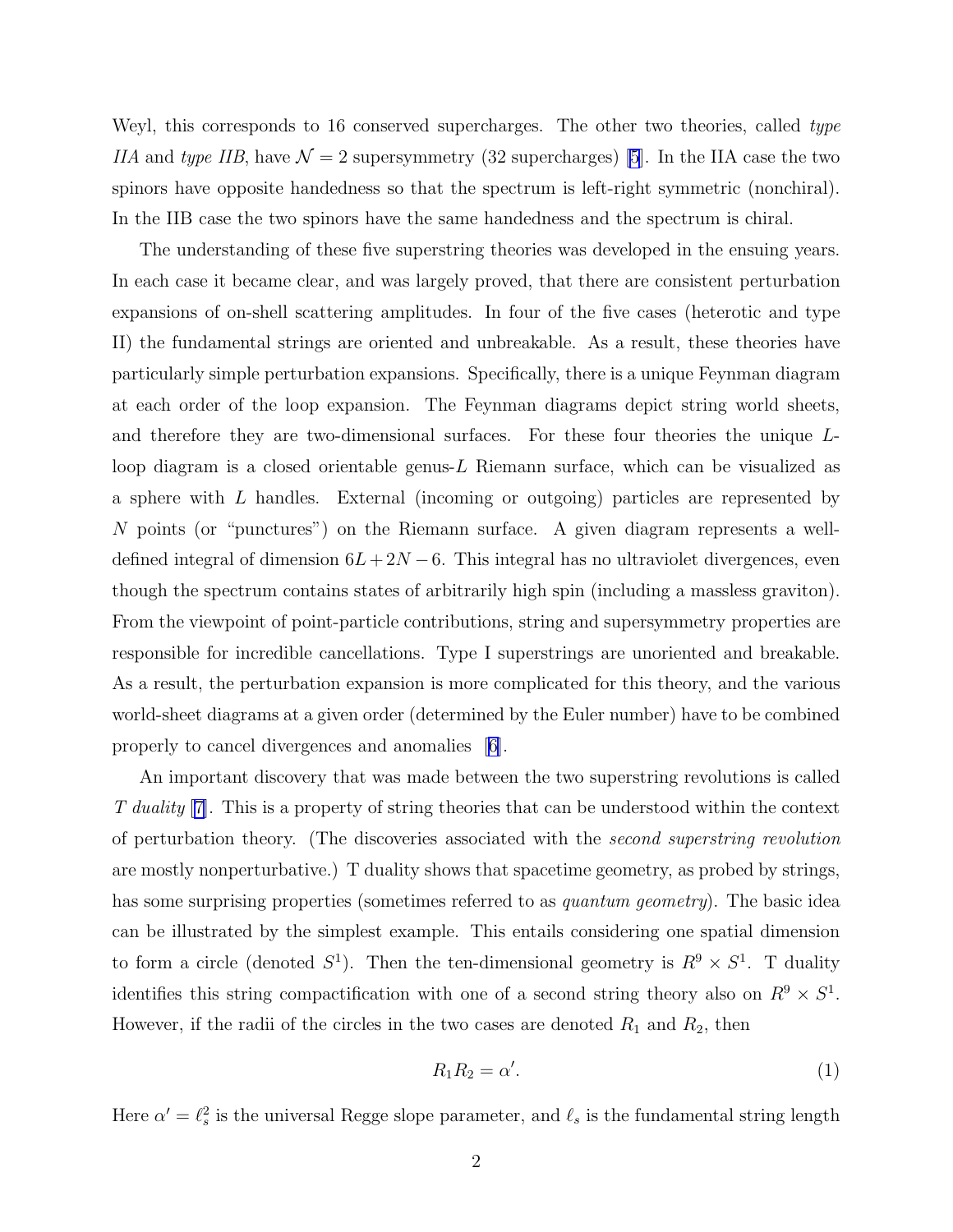<span id="page-2-0"></span>Weyl, this corresponds to 16 conserved supercharges. The other two theories, called type IIA and type IIB, have  $\mathcal{N} = 2$  supersymmetry (32 supercharges) [\[5](#page-18-0)]. In the IIA case the two spinors have opposite handedness so that the spectrum is left-right symmetric (nonchiral). In the IIB case the two spinors have the same handedness and the spectrum is chiral.

The understanding of these five superstring theories was developed in the ensuing years. In each case it became clear, and was largely proved, that there are consistent perturbation expansions of on-shell scattering amplitudes. In four of the five cases (heterotic and type II) the fundamental strings are oriented and unbreakable. As a result, these theories have particularly simple perturbation expansions. Specifically, there is a unique Feynman diagram at each order of the loop expansion. The Feynman diagrams depict string world sheets, and therefore they are two-dimensional surfaces. For these four theories the unique Lloop diagram is a closed orientable genus-L Riemann surface, which can be visualized as a sphere with L handles. External (incoming or outgoing) particles are represented by N points (or "punctures") on the Riemann surface. A given diagram represents a welldefined integral of dimension  $6L+2N-6$ . This integral has no ultraviolet divergences, even though the spectrum contains states of arbitrarily high spin (including a massless graviton). From the viewpoint of point-particle contributions, string and supersymmetry properties are responsible for incredible cancellations. Type I superstrings are unoriented and breakable. As a result, the perturbation expansion is more complicated for this theory, and the various world-sheet diagrams at a given order (determined by the Euler number) have to be combined properly to cancel divergences and anomalies [\[6\]](#page-18-0).

An important discovery that was made between the two superstring revolutions is called T duality [\[7\]](#page-18-0). This is a property of string theories that can be understood within the context of perturbation theory. (The discoveries associated with the second superstring revolution are mostly nonperturbative.) T duality shows that spacetime geometry, as probed by strings, has some surprising properties (sometimes referred to as *quantum geometry*). The basic idea can be illustrated by the simplest example. This entails considering one spatial dimension to form a circle (denoted  $S^1$ ). Then the ten-dimensional geometry is  $R^9 \times S^1$ . T duality identifies this string compactification with one of a second string theory also on  $R^9 \times S^1$ . However, if the radii of the circles in the two cases are denoted  $R_1$  and  $R_2$ , then

$$
R_1 R_2 = \alpha'.\tag{1}
$$

Here  $\alpha' = \ell_s^2$  is the universal Regge slope parameter, and  $\ell_s$  is the fundamental string length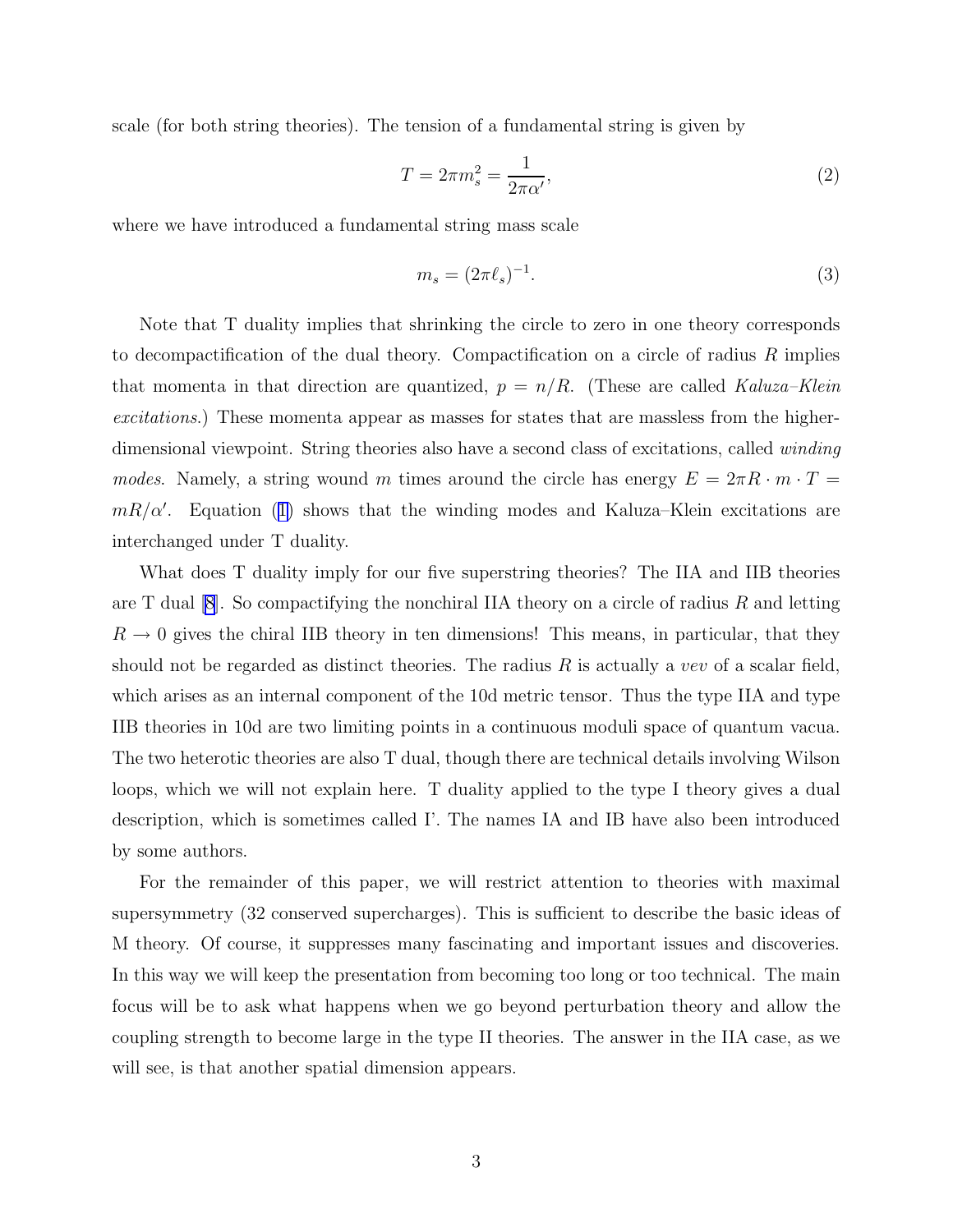scale (for both string theories). The tension of a fundamental string is given by

$$
T = 2\pi m_s^2 = \frac{1}{2\pi\alpha'},\tag{2}
$$

where we have introduced a fundamental string mass scale

$$
m_s = (2\pi \ell_s)^{-1}.\tag{3}
$$

Note that T duality implies that shrinking the circle to zero in one theory corresponds to decompactification of the dual theory. Compactification on a circle of radius  $R$  implies that momenta in that direction are quantized,  $p = n/R$ . (These are called Kaluza–Klein excitations.) These momenta appear as masses for states that are massless from the higherdimensional viewpoint. String theories also have a second class of excitations, called *winding* modes. Namely, a string wound m times around the circle has energy  $E = 2\pi R \cdot m \cdot T =$  $mR/\alpha'$ . Equation ([1\)](#page-2-0) shows that the winding modes and Kaluza–Klein excitations are interchanged under T duality.

What does T duality imply for our five superstring theories? The IIA and IIB theories are T dual  $|8|$ . So compactifying the nonchiral IIA theory on a circle of radius R and letting  $R \to 0$  gives the chiral IIB theory in ten dimensions! This means, in particular, that they should not be regarded as distinct theories. The radius  $R$  is actually a vev of a scalar field, which arises as an internal component of the 10d metric tensor. Thus the type IIA and type IIB theories in 10d are two limiting points in a continuous moduli space of quantum vacua. The two heterotic theories are also T dual, though there are technical details involving Wilson loops, which we will not explain here. T duality applied to the type I theory gives a dual description, which is sometimes called I'. The names IA and IB have also been introduced by some authors.

For the remainder of this paper, we will restrict attention to theories with maximal supersymmetry (32 conserved supercharges). This is sufficient to describe the basic ideas of M theory. Of course, it suppresses many fascinating and important issues and discoveries. In this way we will keep the presentation from becoming too long or too technical. The main focus will be to ask what happens when we go beyond perturbation theory and allow the coupling strength to become large in the type II theories. The answer in the IIA case, as we will see, is that another spatial dimension appears.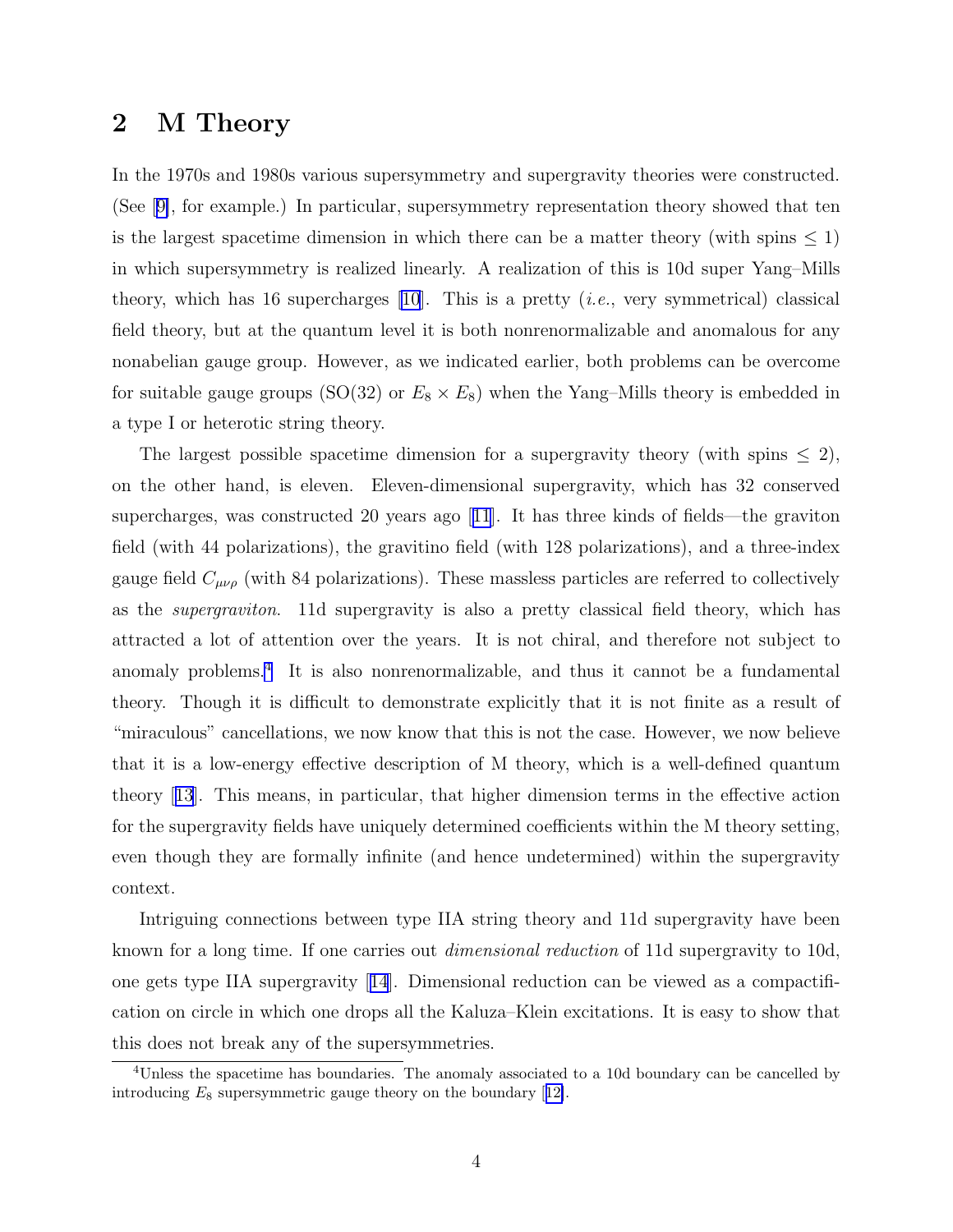#### 2 M Theory

In the 1970s and 1980s various supersymmetry and supergravity theories were constructed. (See[[9\]](#page-18-0), for example.) In particular, supersymmetry representation theory showed that ten is the largest spacetime dimension in which there can be a matter theory (with spins  $\leq 1$ ) in which supersymmetry is realized linearly. A realization of this is 10d super Yang–Mills theory, which has 16 supercharges [\[10](#page-18-0)]. This is a pretty  $(i.e.,$  very symmetrical) classical field theory, but at the quantum level it is both nonrenormalizable and anomalous for any nonabelian gauge group. However, as we indicated earlier, both problems can be overcome for suitable gauge groups (SO(32) or  $E_8 \times E_8$ ) when the Yang–Mills theory is embedded in a type I or heterotic string theory.

The largest possible spacetime dimension for a supergravity theory (with spins  $\leq 2$ ), on the other hand, is eleven. Eleven-dimensional supergravity, which has 32 conserved supercharges, was constructed 20 years ago[[11](#page-18-0)]. It has three kinds of fields—the graviton field (with 44 polarizations), the gravitino field (with 128 polarizations), and a three-index gauge field  $C_{\mu\nu\rho}$  (with 84 polarizations). These massless particles are referred to collectively as the supergraviton. 11d supergravity is also a pretty classical field theory, which has attracted a lot of attention over the years. It is not chiral, and therefore not subject to anomaly problems.<sup>4</sup> It is also nonrenormalizable, and thus it cannot be a fundamental theory. Though it is difficult to demonstrate explicitly that it is not finite as a result of "miraculous" cancellations, we now know that this is not the case. However, we now believe that it is a low-energy effective description of M theory, which is a well-defined quantum theory[[13](#page-18-0)]. This means, in particular, that higher dimension terms in the effective action for the supergravity fields have uniquely determined coefficients within the M theory setting, even though they are formally infinite (and hence undetermined) within the supergravity context.

Intriguing connections between type IIA string theory and 11d supergravity have been known for a long time. If one carries out dimensional reduction of 11d supergravity to 10d, one gets type IIA supergravity[[14](#page-18-0)]. Dimensional reduction can be viewed as a compactification on circle in which one drops all the Kaluza–Klein excitations. It is easy to show that this does not break any of the supersymmetries.

<sup>4</sup>Unless the spacetime has boundaries. The anomaly associated to a 10d boundary can be cancelled by introducing $E_8$  supersymmetric gauge theory on the boundary [[12\]](#page-18-0).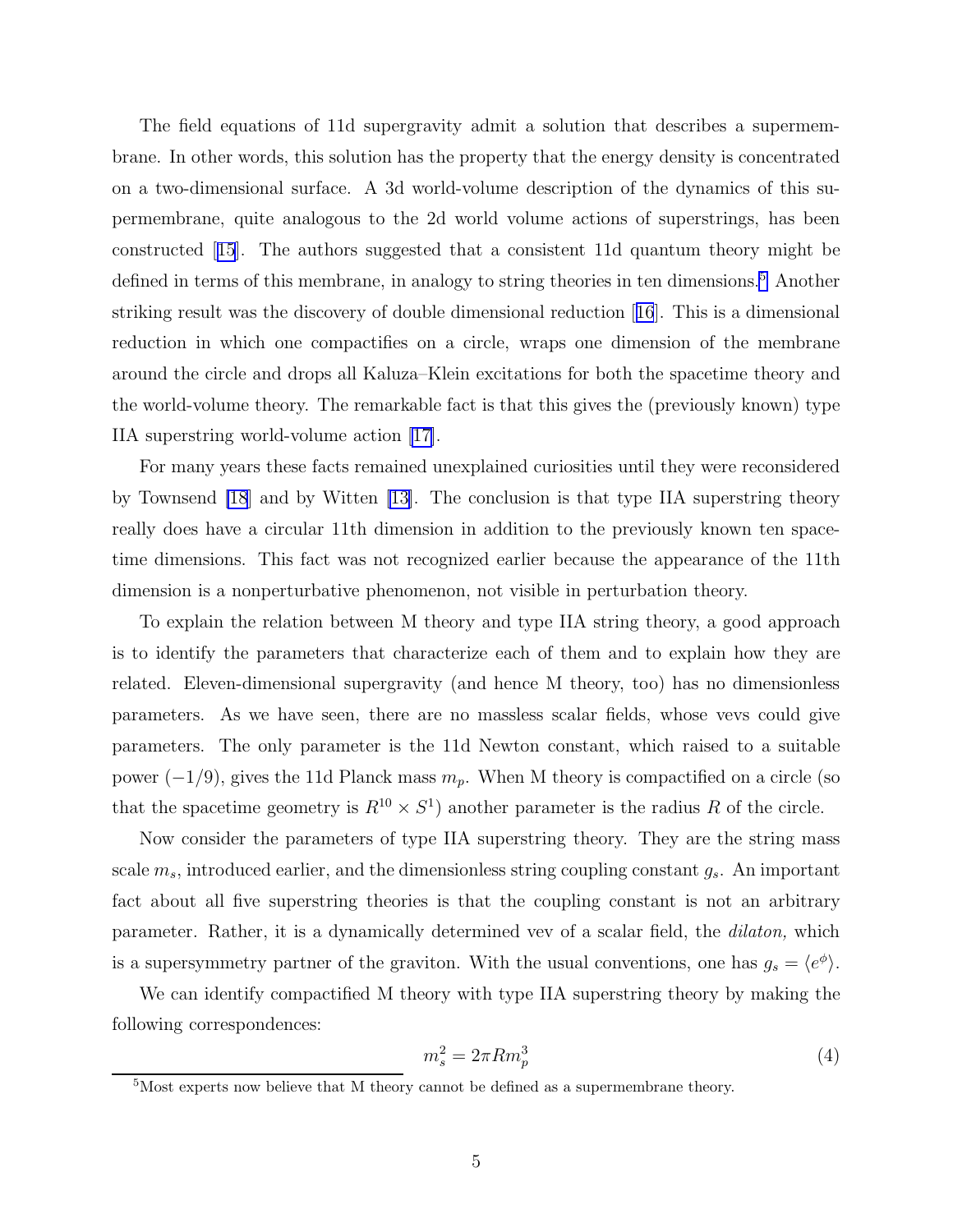<span id="page-5-0"></span>The field equations of 11d supergravity admit a solution that describes a supermembrane. In other words, this solution has the property that the energy density is concentrated on a two-dimensional surface. A 3d world-volume description of the dynamics of this supermembrane, quite analogous to the 2d world volume actions of superstrings, has been constructed[[15](#page-18-0)]. The authors suggested that a consistent 11d quantum theory might be defined in terms of this membrane, in analogy to string theories in ten dimensions.<sup>5</sup> Another striking result was the discovery of double dimensional reduction[[16](#page-18-0)]. This is a dimensional reduction in which one compactifies on a circle, wraps one dimension of the membrane around the circle and drops all Kaluza–Klein excitations for both the spacetime theory and the world-volume theory. The remarkable fact is that this gives the (previously known) type IIA superstring world-volume action [\[17\]](#page-18-0).

For many years these facts remained unexplained curiosities until they were reconsidered by Townsend [\[18](#page-19-0)] and by Witten [\[13\]](#page-18-0). The conclusion is that type IIA superstring theory really does have a circular 11th dimension in addition to the previously known ten spacetime dimensions. This fact was not recognized earlier because the appearance of the 11th dimension is a nonperturbative phenomenon, not visible in perturbation theory.

To explain the relation between M theory and type IIA string theory, a good approach is to identify the parameters that characterize each of them and to explain how they are related. Eleven-dimensional supergravity (and hence M theory, too) has no dimensionless parameters. As we have seen, there are no massless scalar fields, whose vevs could give parameters. The only parameter is the 11d Newton constant, which raised to a suitable power  $(-1/9)$ , gives the 11d Planck mass  $m_p$ . When M theory is compactified on a circle (so that the spacetime geometry is  $R^{10} \times S^1$  another parameter is the radius R of the circle.

Now consider the parameters of type IIA superstring theory. They are the string mass scale  $m_s$ , introduced earlier, and the dimensionless string coupling constant  $g_s$ . An important fact about all five superstring theories is that the coupling constant is not an arbitrary parameter. Rather, it is a dynamically determined vev of a scalar field, the dilaton, which is a supersymmetry partner of the graviton. With the usual conventions, one has  $g_s = \langle e^{\phi} \rangle$ .

We can identify compactified M theory with type IIA superstring theory by making the following correspondences:

$$
m_s^2 = 2\pi R m_p^3 \tag{4}
$$

<sup>5</sup>Most experts now believe that M theory cannot be defined as a supermembrane theory.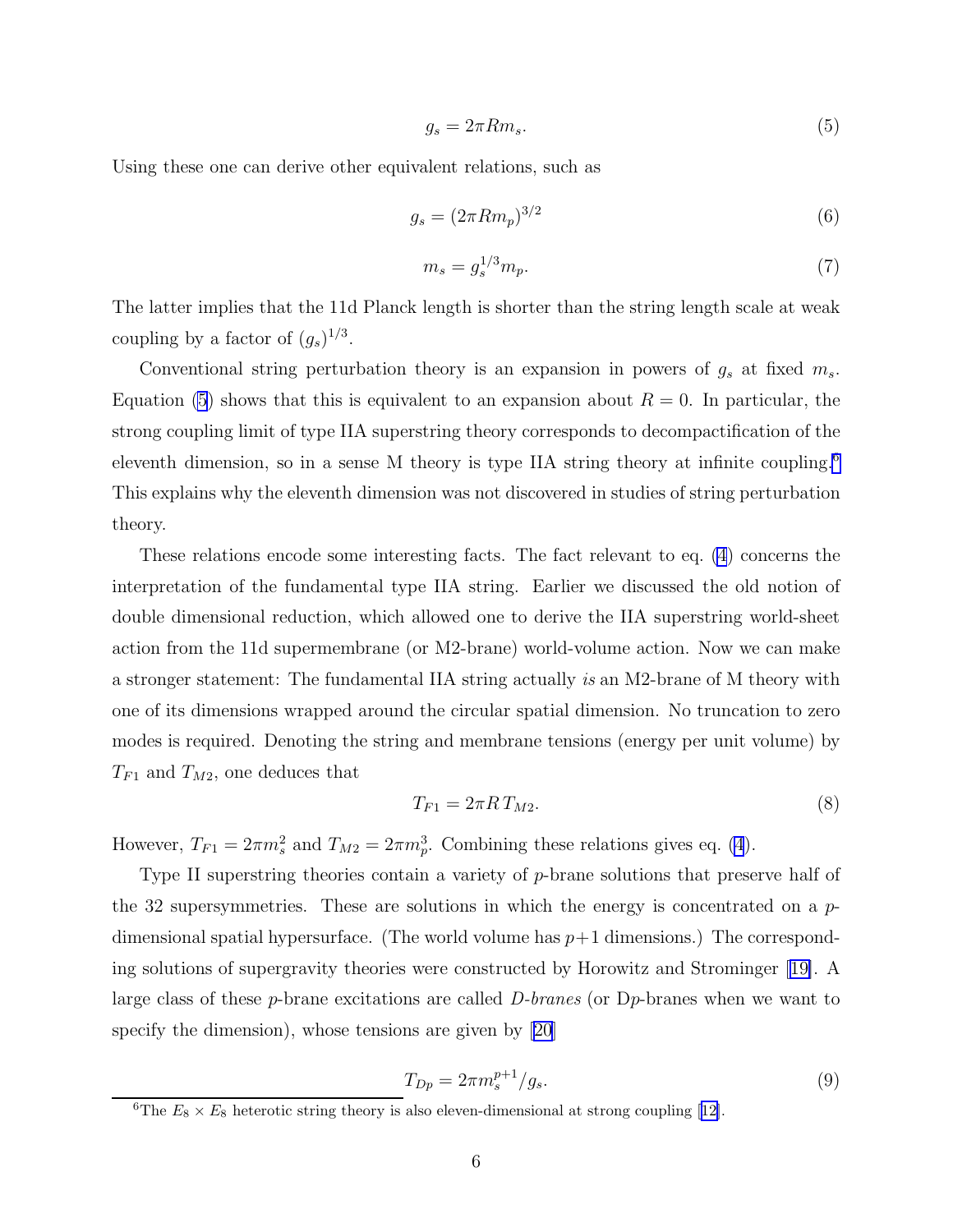$$
g_s = 2\pi R m_s. \tag{5}
$$

<span id="page-6-0"></span>Using these one can derive other equivalent relations, such as

$$
g_s = (2\pi R m_p)^{3/2} \tag{6}
$$

$$
m_s = g_s^{1/3} m_p. \tag{7}
$$

The latter implies that the 11d Planck length is shorter than the string length scale at weak coupling by a factor of  $(g_s)^{1/3}$ .

Conventional string perturbation theory is an expansion in powers of  $g_s$  at fixed  $m_s$ . Equation (5) shows that this is equivalent to an expansion about  $R = 0$ . In particular, the strong coupling limit of type IIA superstring theory corresponds to decompactification of the eleventh dimension, so in a sense M theory is type IIA string theory at infinite coupling.<sup>6</sup> This explains why the eleventh dimension was not discovered in studies of string perturbation theory.

These relations encode some interesting facts. The fact relevant to eq. [\(4](#page-5-0)) concerns the interpretation of the fundamental type IIA string. Earlier we discussed the old notion of double dimensional reduction, which allowed one to derive the IIA superstring world-sheet action from the 11d supermembrane (or M2-brane) world-volume action. Now we can make a stronger statement: The fundamental IIA string actually is an M2-brane of M theory with one of its dimensions wrapped around the circular spatial dimension. No truncation to zero modes is required. Denoting the string and membrane tensions (energy per unit volume) by  $T_{F1}$  and  $T_{M2}$ , one deduces that

$$
T_{F1} = 2\pi RT_{M2}.\tag{8}
$$

However,  $T_{F1} = 2\pi m_s^2$  and  $T_{M2} = 2\pi m_p^3$ . Combining these relations gives eq. [\(4](#page-5-0)).

Type II superstring theories contain a variety of p-brane solutions that preserve half of the 32 supersymmetries. These are solutions in which the energy is concentrated on a  $p$ dimensional spatial hypersurface. (The world volume has  $p+1$  dimensions.) The corresponding solutions of supergravity theories were constructed by Horowitz and Strominger[[19\]](#page-19-0). A large class of these p-brane excitations are called D-branes (or Dp-branes when we want to specify the dimension), whose tensions are given by [\[20\]](#page-19-0)

$$
T_{Dp} = 2\pi m_s^{p+1} / g_s. \tag{9}
$$

<sup>&</sup>lt;sup>6</sup>The $E_8 \times E_8$  heterotic string theory is also eleven-dimensional at strong coupling [[12\]](#page-18-0).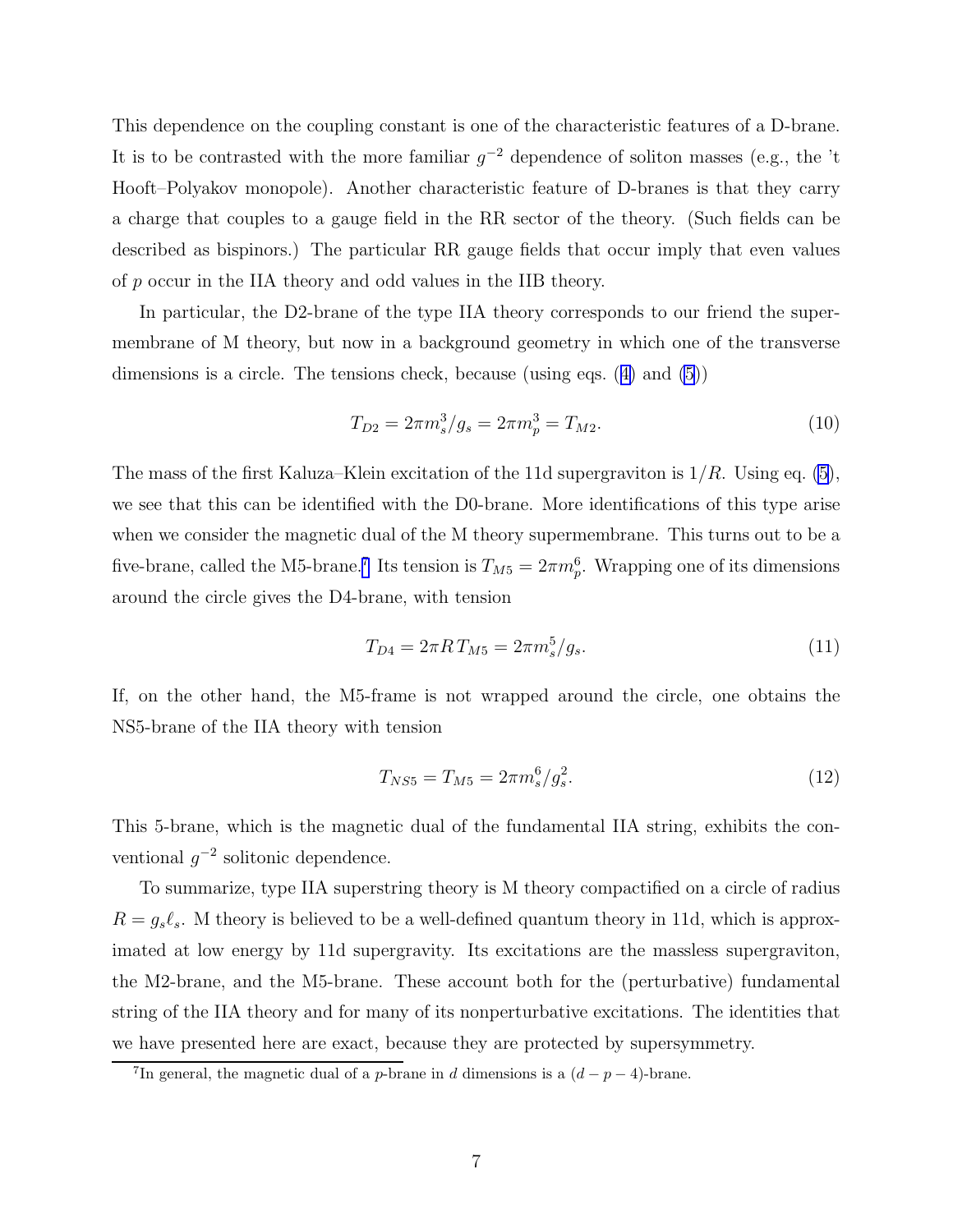This dependence on the coupling constant is one of the characteristic features of a D-brane. It is to be contrasted with the more familiar  $g^{-2}$  dependence of soliton masses (e.g., the 't Hooft–Polyakov monopole). Another characteristic feature of D-branes is that they carry a charge that couples to a gauge field in the RR sector of the theory. (Such fields can be described as bispinors.) The particular RR gauge fields that occur imply that even values of p occur in the IIA theory and odd values in the IIB theory.

In particular, the D2-brane of the type IIA theory corresponds to our friend the supermembrane of M theory, but now in a background geometry in which one of the transverse dimensions is a circle. The tensions check, because (using eqs. ([4\)](#page-5-0) and [\(5](#page-6-0)))

$$
T_{D2} = 2\pi m_s^3 / g_s = 2\pi m_p^3 = T_{M2}.
$$
\n(10)

The mass of the first Kaluza–Klein excitation of the 11d supergraviton is  $1/R$ . Using eq. [\(5](#page-6-0)), we see that this can be identified with the D0-brane. More identifications of this type arise when we consider the magnetic dual of the M theory supermembrane. This turns out to be a five-brane, called the M5-brane.<sup>7</sup> Its tension is  $T_{M5} = 2\pi m_p^6$ . Wrapping one of its dimensions around the circle gives the D4-brane, with tension

$$
T_{D4} = 2\pi R T_{M5} = 2\pi m_s^5 / g_s. \tag{11}
$$

If, on the other hand, the M5-frame is not wrapped around the circle, one obtains the NS5-brane of the IIA theory with tension

$$
T_{NS5} = T_{M5} = 2\pi m_s^6 / g_s^2. \tag{12}
$$

This 5-brane, which is the magnetic dual of the fundamental IIA string, exhibits the conventional  $g^{-2}$  solitonic dependence.

To summarize, type IIA superstring theory is M theory compactified on a circle of radius  $R = g_s \ell_s$ . M theory is believed to be a well-defined quantum theory in 11d, which is approximated at low energy by 11d supergravity. Its excitations are the massless supergraviton, the M2-brane, and the M5-brane. These account both for the (perturbative) fundamental string of the IIA theory and for many of its nonperturbative excitations. The identities that we have presented here are exact, because they are protected by supersymmetry.

<sup>&</sup>lt;sup>7</sup>In general, the magnetic dual of a *p*-brane in *d* dimensions is a  $(d - p - 4)$ -brane.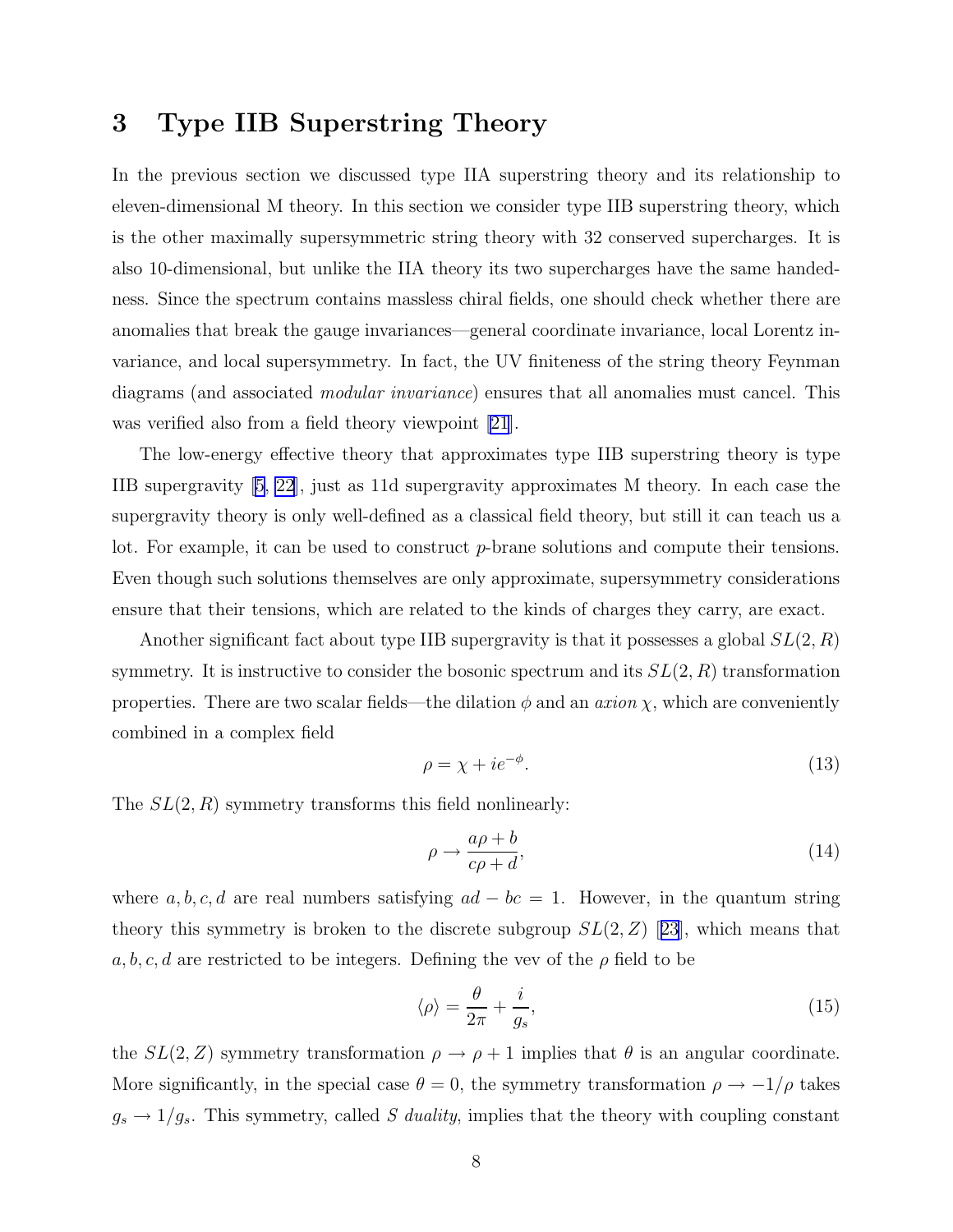#### 3 Type IIB Superstring Theory

In the previous section we discussed type IIA superstring theory and its relationship to eleven-dimensional M theory. In this section we consider type IIB superstring theory, which is the other maximally supersymmetric string theory with 32 conserved supercharges. It is also 10-dimensional, but unlike the IIA theory its two supercharges have the same handedness. Since the spectrum contains massless chiral fields, one should check whether there are anomalies that break the gauge invariances—general coordinate invariance, local Lorentz invariance, and local supersymmetry. In fact, the UV finiteness of the string theory Feynman diagrams (and associated *modular invariance*) ensures that all anomalies must cancel. This was verified also from a field theory viewpoint [\[21](#page-19-0)].

The low-energy effective theory that approximates type IIB superstring theory is type IIB supergravity [\[5](#page-18-0), [22](#page-19-0)], just as 11d supergravity approximates M theory. In each case the supergravity theory is only well-defined as a classical field theory, but still it can teach us a lot. For example, it can be used to construct p-brane solutions and compute their tensions. Even though such solutions themselves are only approximate, supersymmetry considerations ensure that their tensions, which are related to the kinds of charges they carry, are exact.

Another significant fact about type IIB supergravity is that it possesses a global  $SL(2, R)$ symmetry. It is instructive to consider the bosonic spectrum and its  $SL(2, R)$  transformation properties. There are two scalar fields—the dilation  $\phi$  and an *axion*  $\chi$ , which are conveniently combined in a complex field

$$
\rho = \chi + ie^{-\phi}.\tag{13}
$$

The  $SL(2, R)$  symmetry transforms this field nonlinearly:

$$
\rho \to \frac{a\rho + b}{c\rho + d},\tag{14}
$$

where a, b, c, d are real numbers satisfying  $ad - bc = 1$ . However, in the quantum string theorythis symmetry is broken to the discrete subgroup  $SL(2, Z)$  [[23](#page-19-0)], which means that a, b, c, d are restricted to be integers. Defining the vev of the  $\rho$  field to be

$$
\langle \rho \rangle = \frac{\theta}{2\pi} + \frac{i}{g_s},\tag{15}
$$

the  $SL(2, Z)$  symmetry transformation  $\rho \to \rho + 1$  implies that  $\theta$  is an angular coordinate. More significantly, in the special case  $\theta = 0$ , the symmetry transformation  $\rho \to -1/\rho$  takes  $g_s \to 1/g_s$ . This symmetry, called S duality, implies that the theory with coupling constant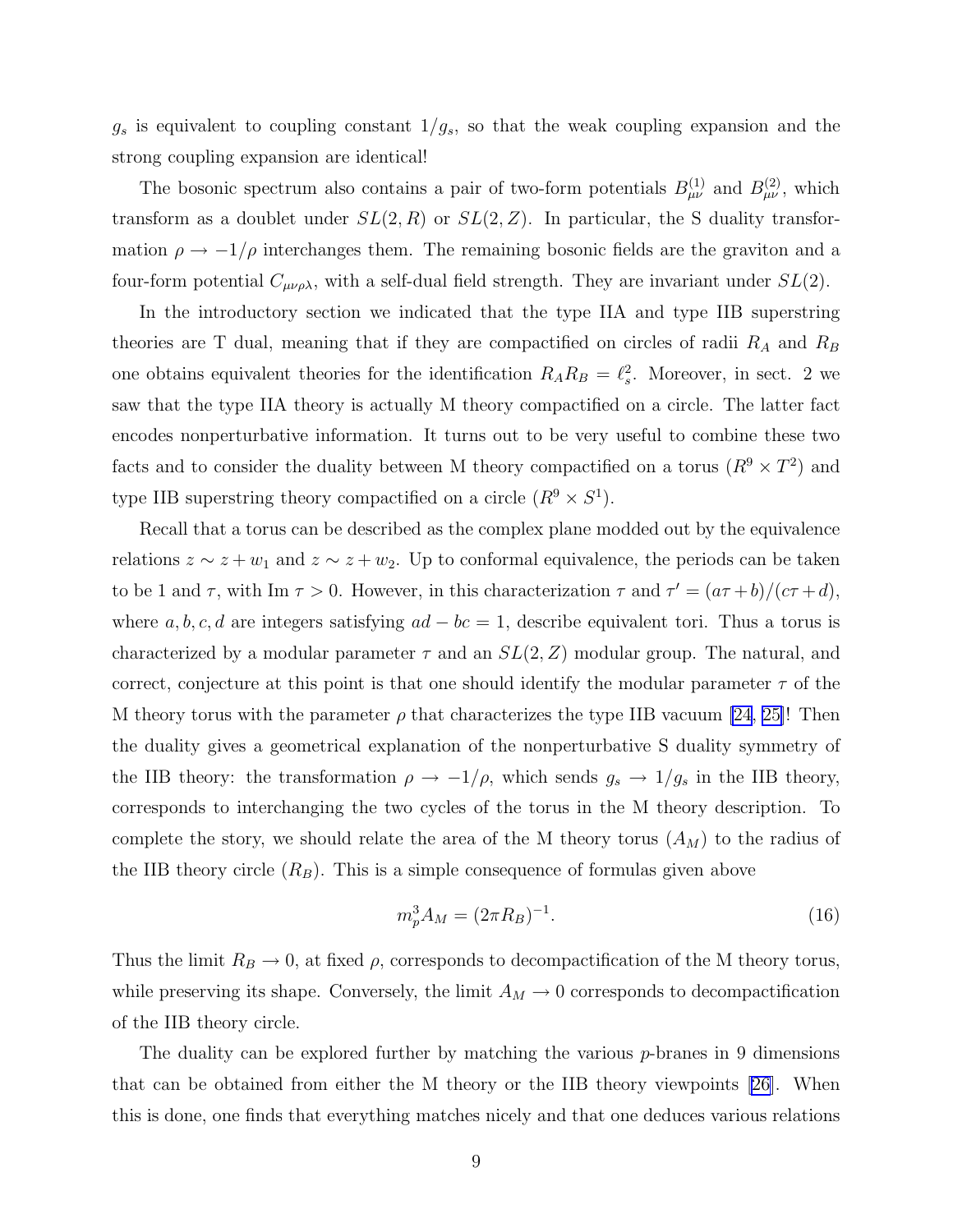$g_s$  is equivalent to coupling constant  $1/g_s$ , so that the weak coupling expansion and the strong coupling expansion are identical!

The bosonic spectrum also contains a pair of two-form potentials  $B_{\mu\nu}^{(1)}$  and  $B_{\mu\nu}^{(2)}$ , which transform as a doublet under  $SL(2, R)$  or  $SL(2, Z)$ . In particular, the S duality transformation  $\rho \rightarrow -1/\rho$  interchanges them. The remaining bosonic fields are the graviton and a four-form potential  $C_{\mu\nu\rho\lambda}$ , with a self-dual field strength. They are invariant under  $SL(2)$ .

In the introductory section we indicated that the type IIA and type IIB superstring theories are T dual, meaning that if they are compactified on circles of radii  $R_A$  and  $R_B$ one obtains equivalent theories for the identification  $R_A R_B = \ell_s^2$ . Moreover, in sect. 2 we saw that the type IIA theory is actually M theory compactified on a circle. The latter fact encodes nonperturbative information. It turns out to be very useful to combine these two facts and to consider the duality between M theory compactified on a torus  $(R^9 \times T^2)$  and type IIB superstring theory compactified on a circle  $(R^9 \times S^1)$ .

Recall that a torus can be described as the complex plane modded out by the equivalence relations  $z \sim z + w_1$  and  $z \sim z + w_2$ . Up to conformal equivalence, the periods can be taken to be 1 and  $\tau$ , with Im  $\tau > 0$ . However, in this characterization  $\tau$  and  $\tau' = (a\tau + b)/(c\tau + d)$ , where  $a, b, c, d$  are integers satisfying  $ad - bc = 1$ , describe equivalent tori. Thus a torus is characterized by a modular parameter  $\tau$  and an  $SL(2, Z)$  modular group. The natural, and correct, conjecture at this point is that one should identify the modular parameter  $\tau$  of the M theory torus with the parameter  $\rho$  that characterizes the type IIB vacuum [\[24](#page-19-0), [25\]](#page-19-0)! Then the duality gives a geometrical explanation of the nonperturbative S duality symmetry of the IIB theory: the transformation  $\rho \to -1/\rho$ , which sends  $g_s \to 1/g_s$  in the IIB theory, corresponds to interchanging the two cycles of the torus in the M theory description. To complete the story, we should relate the area of the M theory torus  $(A_M)$  to the radius of the IIB theory circle  $(R_B)$ . This is a simple consequence of formulas given above

$$
m_p^3 A_M = (2\pi R_B)^{-1}.
$$
\n(16)

Thus the limit  $R_B \to 0$ , at fixed  $\rho$ , corresponds to decompactification of the M theory torus, while preserving its shape. Conversely, the limit  $A_M \to 0$  corresponds to decompactification of the IIB theory circle.

The duality can be explored further by matching the various p-branes in 9 dimensions that can be obtained from either the M theory or the IIB theory viewpoints [\[26](#page-19-0)]. When this is done, one finds that everything matches nicely and that one deduces various relations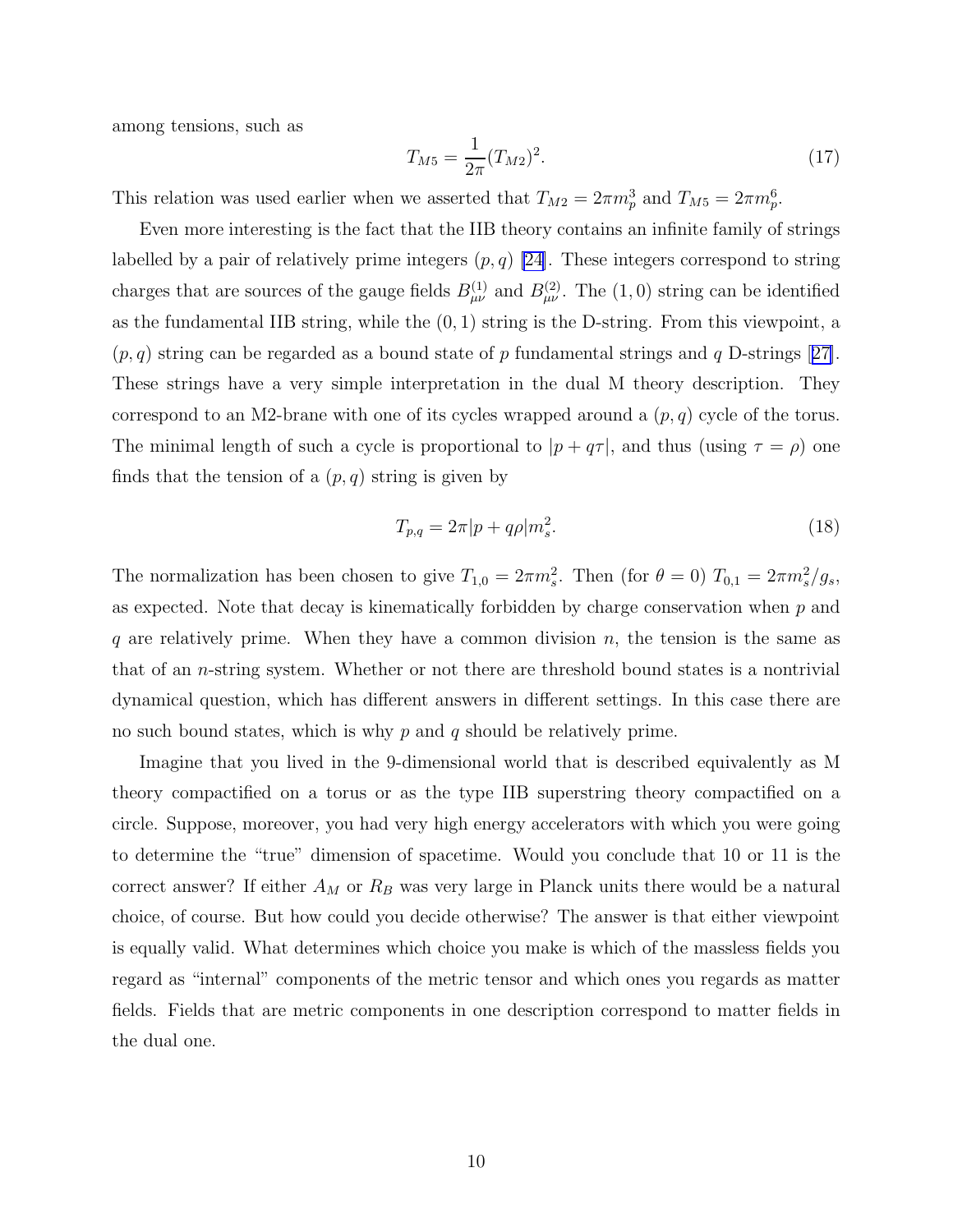<span id="page-10-0"></span>among tensions, such as

$$
T_{M5} = \frac{1}{2\pi} (T_{M2})^2.
$$
\n(17)

This relation was used earlier when we asserted that  $T_{M2} = 2\pi m_p^3$  and  $T_{M5} = 2\pi m_p^6$ .

Even more interesting is the fact that the IIB theory contains an infinite family of strings labelled by a pair of relatively prime integers  $(p, q)$  [\[24\]](#page-19-0). These integers correspond to string charges that are sources of the gauge fields  $B_{\mu\nu}^{(1)}$  and  $B_{\mu\nu}^{(2)}$ . The  $(1,0)$  string can be identified as the fundamental IIB string, while the  $(0, 1)$  string is the D-string. From this viewpoint, a  $(p, q)$  $(p, q)$  $(p, q)$  string can be regarded as a bound state of p fundamental strings and q D-strings [[27\]](#page-19-0). These strings have a very simple interpretation in the dual M theory description. They correspond to an M2-brane with one of its cycles wrapped around a  $(p, q)$  cycle of the torus. The minimal length of such a cycle is proportional to  $|p + q\tau|$ , and thus (using  $\tau = \rho$ ) one finds that the tension of a  $(p, q)$  string is given by

$$
T_{p,q} = 2\pi |p + q\rho|m_s^2.
$$
\n(18)

The normalization has been chosen to give  $T_{1,0} = 2\pi m_s^2$ . Then (for  $\theta = 0$ )  $T_{0,1} = 2\pi m_s^2/g_s$ , as expected. Note that decay is kinematically forbidden by charge conservation when  $p$  and q are relatively prime. When they have a common division  $n$ , the tension is the same as that of an n-string system. Whether or not there are threshold bound states is a nontrivial dynamical question, which has different answers in different settings. In this case there are no such bound states, which is why  $p$  and  $q$  should be relatively prime.

Imagine that you lived in the 9-dimensional world that is described equivalently as M theory compactified on a torus or as the type IIB superstring theory compactified on a circle. Suppose, moreover, you had very high energy accelerators with which you were going to determine the "true" dimension of spacetime. Would you conclude that 10 or 11 is the correct answer? If either  $A_M$  or  $R_B$  was very large in Planck units there would be a natural choice, of course. But how could you decide otherwise? The answer is that either viewpoint is equally valid. What determines which choice you make is which of the massless fields you regard as "internal" components of the metric tensor and which ones you regards as matter fields. Fields that are metric components in one description correspond to matter fields in the dual one.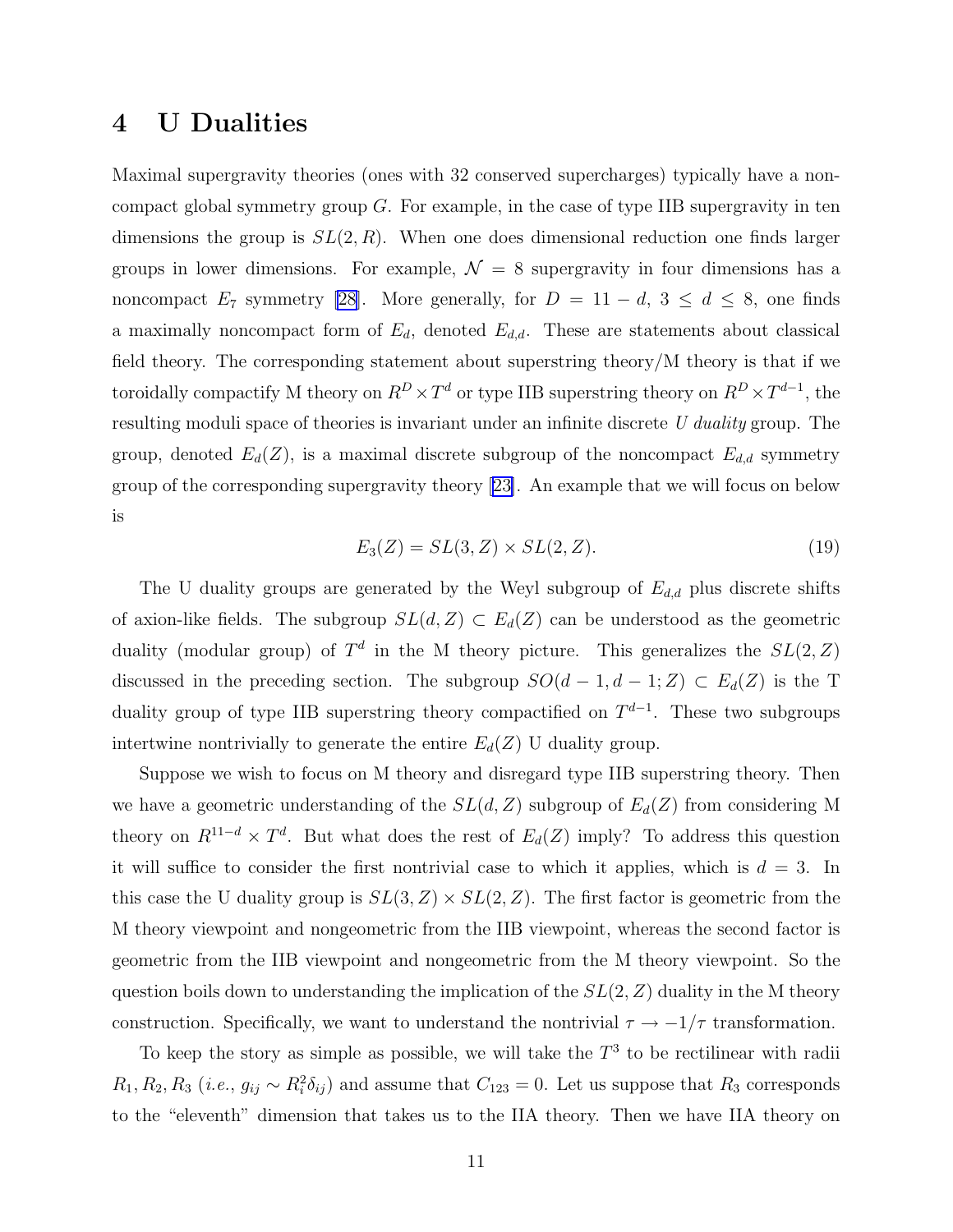#### 4 U Dualities

Maximal supergravity theories (ones with 32 conserved supercharges) typically have a noncompact global symmetry group  $G$ . For example, in the case of type IIB supergravity in ten dimensions the group is  $SL(2, R)$ . When one does dimensional reduction one finds larger groups in lower dimensions. For example,  $\mathcal{N} = 8$  supergravity in four dimensions has a noncompact E<sub>7</sub> symmetry [\[28](#page-19-0)]. More generally, for  $D = 11 - d$ ,  $3 \le d \le 8$ , one finds a maximally noncompact form of  $E_d$ , denoted  $E_{d,d}$ . These are statements about classical field theory. The corresponding statement about superstring theory/M theory is that if we toroidally compactify M theory on  $R^D \times T^d$  or type IIB superstring theory on  $R^D \times T^{d-1}$ , the resulting moduli space of theories is invariant under an infinite discrete U duality group. The group, denoted  $E_d(Z)$ , is a maximal discrete subgroup of the noncompact  $E_{d,d}$  symmetry group of the corresponding supergravity theory[[23\]](#page-19-0). An example that we will focus on below is

$$
E_3(Z) = SL(3, Z) \times SL(2, Z). \tag{19}
$$

The U duality groups are generated by the Weyl subgroup of  $E_{d,d}$  plus discrete shifts of axion-like fields. The subgroup  $SL(d, Z) \subset E_d(Z)$  can be understood as the geometric duality (modular group) of  $T<sup>d</sup>$  in the M theory picture. This generalizes the  $SL(2, Z)$ discussed in the preceding section. The subgroup  $SO(d-1, d-1; Z) \subset E_d(Z)$  is the T duality group of type IIB superstring theory compactified on  $T^{d-1}$ . These two subgroups intertwine nontrivially to generate the entire  $E_d(Z)$  U duality group.

Suppose we wish to focus on M theory and disregard type IIB superstring theory. Then we have a geometric understanding of the  $SL(d, Z)$  subgroup of  $E_d(Z)$  from considering M theory on  $R^{11-d} \times T^d$ . But what does the rest of  $E_d(Z)$  imply? To address this question it will suffice to consider the first nontrivial case to which it applies, which is  $d = 3$ . In this case the U duality group is  $SL(3, Z) \times SL(2, Z)$ . The first factor is geometric from the M theory viewpoint and nongeometric from the IIB viewpoint, whereas the second factor is geometric from the IIB viewpoint and nongeometric from the M theory viewpoint. So the question boils down to understanding the implication of the  $SL(2, Z)$  duality in the M theory construction. Specifically, we want to understand the nontrivial  $\tau \to -1/\tau$  transformation.

To keep the story as simple as possible, we will take the  $T<sup>3</sup>$  to be rectilinear with radii  $R_1, R_2, R_3$  (*i.e.*,  $g_{ij} \sim R_i^2 \delta_{ij}$ ) and assume that  $C_{123} = 0$ . Let us suppose that  $R_3$  corresponds to the "eleventh" dimension that takes us to the IIA theory. Then we have IIA theory on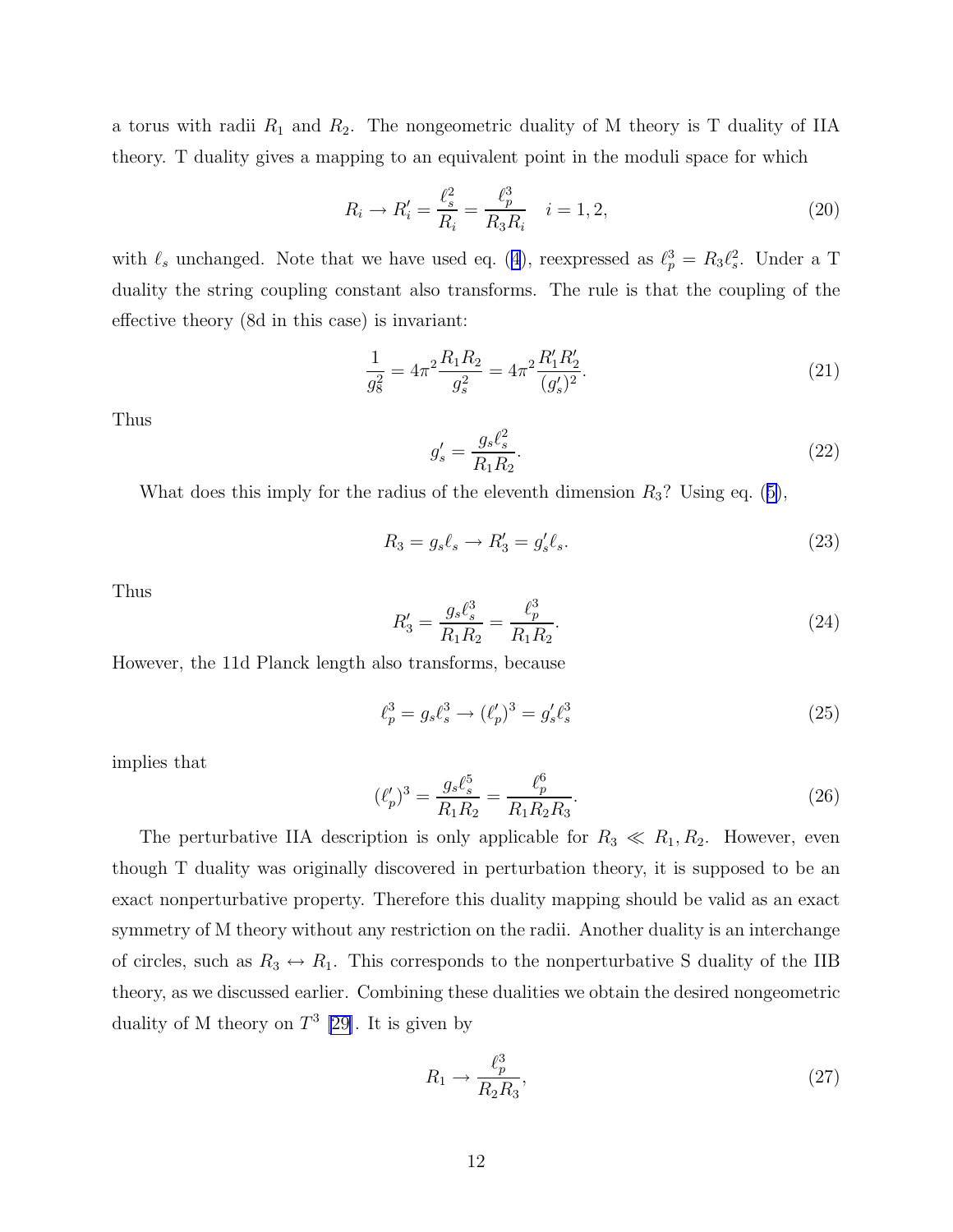<span id="page-12-0"></span>a torus with radii  $R_1$  and  $R_2$ . The nongeometric duality of M theory is T duality of IIA theory. T duality gives a mapping to an equivalent point in the moduli space for which

$$
R_i \to R'_i = \frac{\ell_s^2}{R_i} = \frac{\ell_p^3}{R_3 R_i} \quad i = 1, 2,
$$
\n(20)

with  $\ell_s$  unchanged. Note that we have used eq. ([4](#page-5-0)), reexpressed as  $\ell_p^3 = R_3 \ell_s^2$ . Under a T duality the string coupling constant also transforms. The rule is that the coupling of the effective theory (8d in this case) is invariant:

$$
\frac{1}{g_8^2} = 4\pi^2 \frac{R_1 R_2}{g_s^2} = 4\pi^2 \frac{R_1 R_2'}{(g_s')^2}.
$$
\n(21)

Thus

$$
g'_{s} = \frac{g_{s} \ell_{s}^{2}}{R_{1} R_{2}}.
$$
\n(22)

What does this imply for the radius of the eleventh dimension  $R_3$ ? Using eq. ([5\)](#page-6-0),

$$
R_3 = g_s \ell_s \to R'_3 = g'_s \ell_s. \tag{23}
$$

Thus

$$
R_3' = \frac{g_s \ell_s^3}{R_1 R_2} = \frac{\ell_p^3}{R_1 R_2}.
$$
\n(24)

However, the 11d Planck length also transforms, because

$$
\ell_p^3 = g_s \ell_s^3 \to (\ell_p')^3 = g_s' \ell_s^3 \tag{25}
$$

implies that

$$
(\ell_p')^3 = \frac{g_s \ell_s^5}{R_1 R_2} = \frac{\ell_p^6}{R_1 R_2 R_3}.
$$
\n(26)

The perturbative IIA description is only applicable for  $R_3 \ll R_1, R_2$ . However, even though T duality was originally discovered in perturbation theory, it is supposed to be an exact nonperturbative property. Therefore this duality mapping should be valid as an exact symmetry of M theory without any restriction on the radii. Another duality is an interchange of circles, such as  $R_3 \leftrightarrow R_1$ . This corresponds to the nonperturbative S duality of the IIB theory, as we discussed earlier. Combining these dualities we obtain the desired nongeometric duality of M theory on  $T^3$  [\[29\]](#page-19-0). It is given by

$$
R_1 \to \frac{\ell_p^3}{R_2 R_3},\tag{27}
$$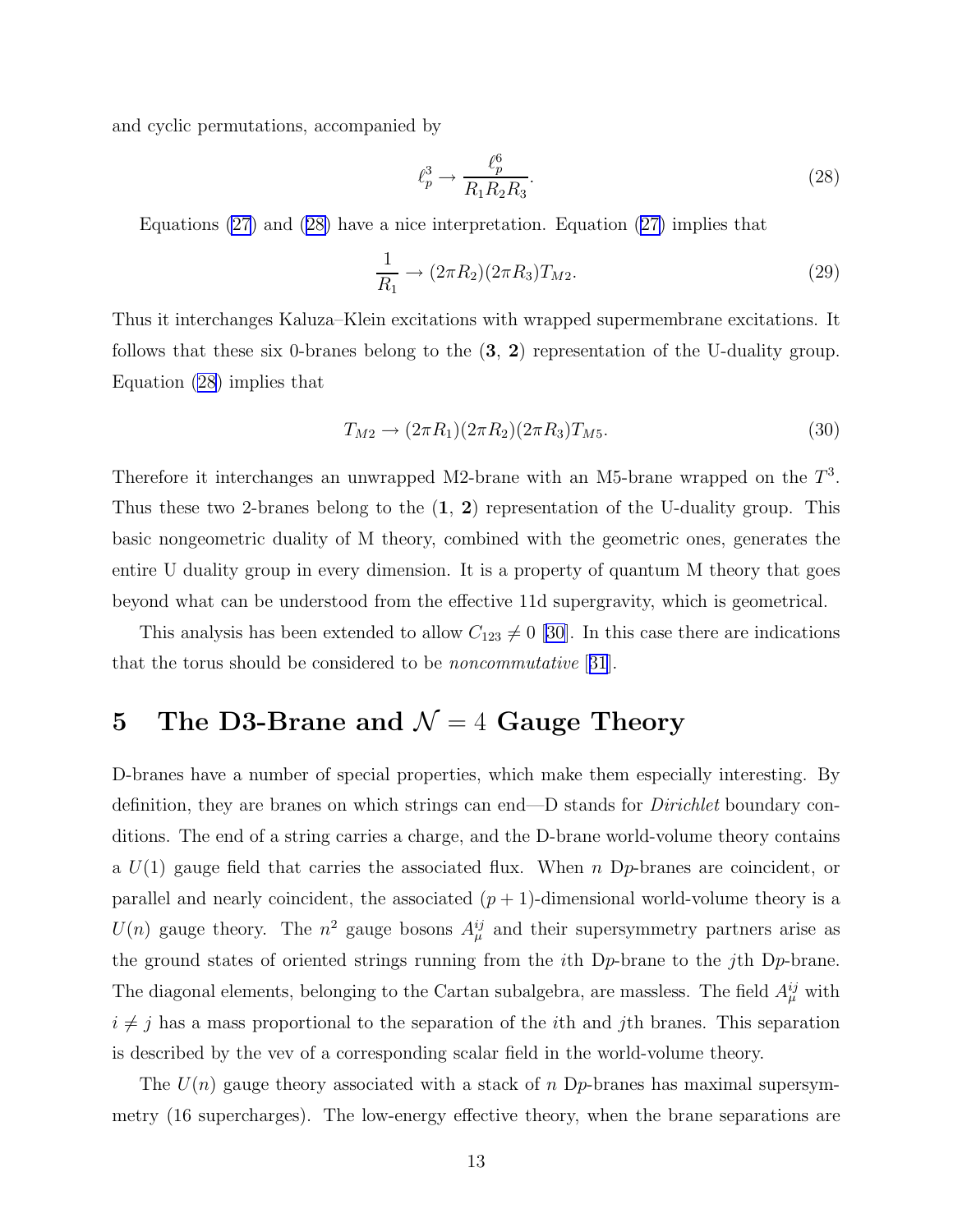and cyclic permutations, accompanied by

$$
\ell_p^3 \to \frac{\ell_p^6}{R_1 R_2 R_3}.\tag{28}
$$

Equations [\(27](#page-12-0)) and (28) have a nice interpretation. Equation ([27\)](#page-12-0) implies that

$$
\frac{1}{R_1} \to (2\pi R_2)(2\pi R_3)T_{M2}.\tag{29}
$$

Thus it interchanges Kaluza–Klein excitations with wrapped supermembrane excitations. It follows that these six 0-branes belong to the (3, 2) representation of the U-duality group. Equation (28) implies that

$$
T_{M2} \to (2\pi R_1)(2\pi R_2)(2\pi R_3)T_{M5}.
$$
\n(30)

Therefore it interchanges an unwrapped M2-brane with an M5-brane wrapped on the  $T^3$ . Thus these two 2-branes belong to the  $(1, 2)$  representation of the U-duality group. This basic nongeometric duality of M theory, combined with the geometric ones, generates the entire U duality group in every dimension. It is a property of quantum M theory that goes beyond what can be understood from the effective 11d supergravity, which is geometrical.

This analysis has been extended to allow  $C_{123} \neq 0$  [\[30\]](#page-19-0). In this case there are indications that the torus should be considered to be noncommutative [[31](#page-19-0)].

# 5 The D3-Brane and  $\mathcal{N}=4$  Gauge Theory

D-branes have a number of special properties, which make them especially interesting. By definition, they are branes on which strings can end—D stands for *Dirichlet* boundary conditions. The end of a string carries a charge, and the D-brane world-volume theory contains a  $U(1)$  gauge field that carries the associated flux. When n Dp-branes are coincident, or parallel and nearly coincident, the associated  $(p + 1)$ -dimensional world-volume theory is a  $U(n)$  gauge theory. The  $n^2$  gauge bosons  $A_{\mu}^{ij}$  and their supersymmetry partners arise as the ground states of oriented strings running from the *i*th  $Dp$ -brane to the *j*th  $Dp$ -brane. The diagonal elements, belonging to the Cartan subalgebra, are massless. The field  $A^{ij}_{\mu}$  with  $i \neq j$  has a mass proportional to the separation of the *i*th and *j*th branes. This separation is described by the vev of a corresponding scalar field in the world-volume theory.

The  $U(n)$  gauge theory associated with a stack of n D<sub>p</sub>-branes has maximal supersymmetry (16 supercharges). The low-energy effective theory, when the brane separations are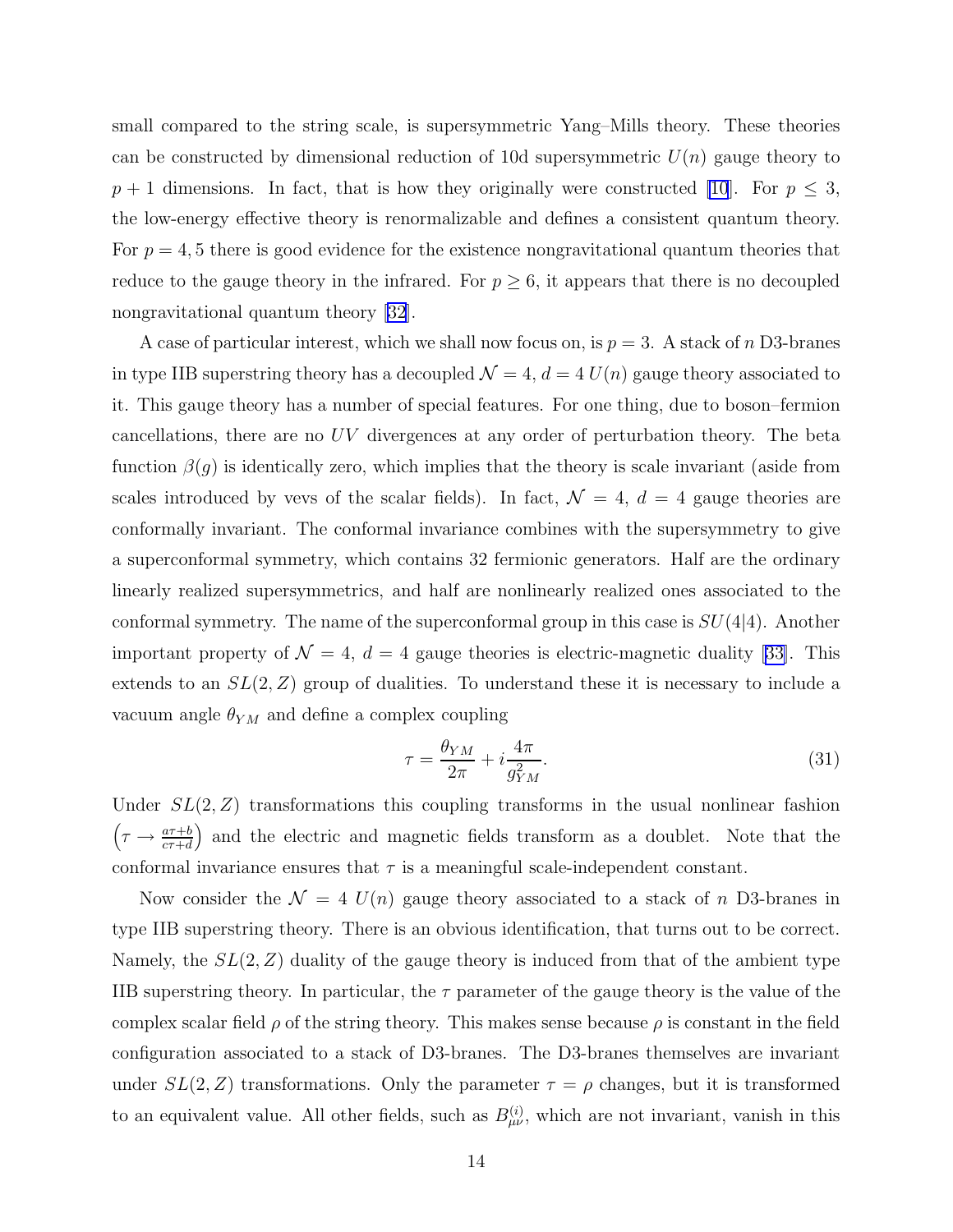small compared to the string scale, is supersymmetric Yang–Mills theory. These theories can be constructed by dimensional reduction of 10d supersymmetric  $U(n)$  gauge theory to  $p + 1$  dimensions. In fact, that is how they originally were constructed [\[10](#page-18-0)]. For  $p \leq 3$ , the low-energy effective theory is renormalizable and defines a consistent quantum theory. For  $p = 4, 5$  there is good evidence for the existence nongravitational quantum theories that reduce to the gauge theory in the infrared. For  $p \geq 6$ , it appears that there is no decoupled nongravitational quantum theory [\[32\]](#page-19-0).

A case of particular interest, which we shall now focus on, is  $p = 3$ . A stack of n D3-branes in type IIB superstring theory has a decoupled  $\mathcal{N} = 4$ ,  $d = 4 U(n)$  gauge theory associated to it. This gauge theory has a number of special features. For one thing, due to boson–fermion cancellations, there are no UV divergences at any order of perturbation theory. The beta function  $\beta(q)$  is identically zero, which implies that the theory is scale invariant (aside from scales introduced by vevs of the scalar fields). In fact,  $\mathcal{N} = 4$ ,  $d = 4$  gauge theories are conformally invariant. The conformal invariance combines with the supersymmetry to give a superconformal symmetry, which contains 32 fermionic generators. Half are the ordinary linearly realized supersymmetrics, and half are nonlinearly realized ones associated to the conformal symmetry. The name of the superconformal group in this case is  $SU(4|4)$ . Another important property of  $\mathcal{N} = 4$ ,  $d = 4$  gauge theories is electric-magnetic duality [\[33\]](#page-19-0). This extends to an  $SL(2, Z)$  group of dualities. To understand these it is necessary to include a vacuum angle  $\theta_{YM}$  and define a complex coupling

$$
\tau = \frac{\theta_{YM}}{2\pi} + i \frac{4\pi}{g_{YM}^2}.\tag{31}
$$

Under  $SL(2, Z)$  transformations this coupling transforms in the usual nonlinear fashion  $\left(\tau \to \frac{a\tau+b}{c\tau+d}\right)$  and the electric and magnetic fields transform as a doublet. Note that the conformal invariance ensures that  $\tau$  is a meaningful scale-independent constant.

Now consider the  $\mathcal{N} = 4$   $U(n)$  gauge theory associated to a stack of n D3-branes in type IIB superstring theory. There is an obvious identification, that turns out to be correct. Namely, the  $SL(2, Z)$  duality of the gauge theory is induced from that of the ambient type IIB superstring theory. In particular, the  $\tau$  parameter of the gauge theory is the value of the complex scalar field  $\rho$  of the string theory. This makes sense because  $\rho$  is constant in the field configuration associated to a stack of D3-branes. The D3-branes themselves are invariant under  $SL(2, Z)$  transformations. Only the parameter  $\tau = \rho$  changes, but it is transformed to an equivalent value. All other fields, such as  $B_{\mu\nu}^{(i)}$ , which are not invariant, vanish in this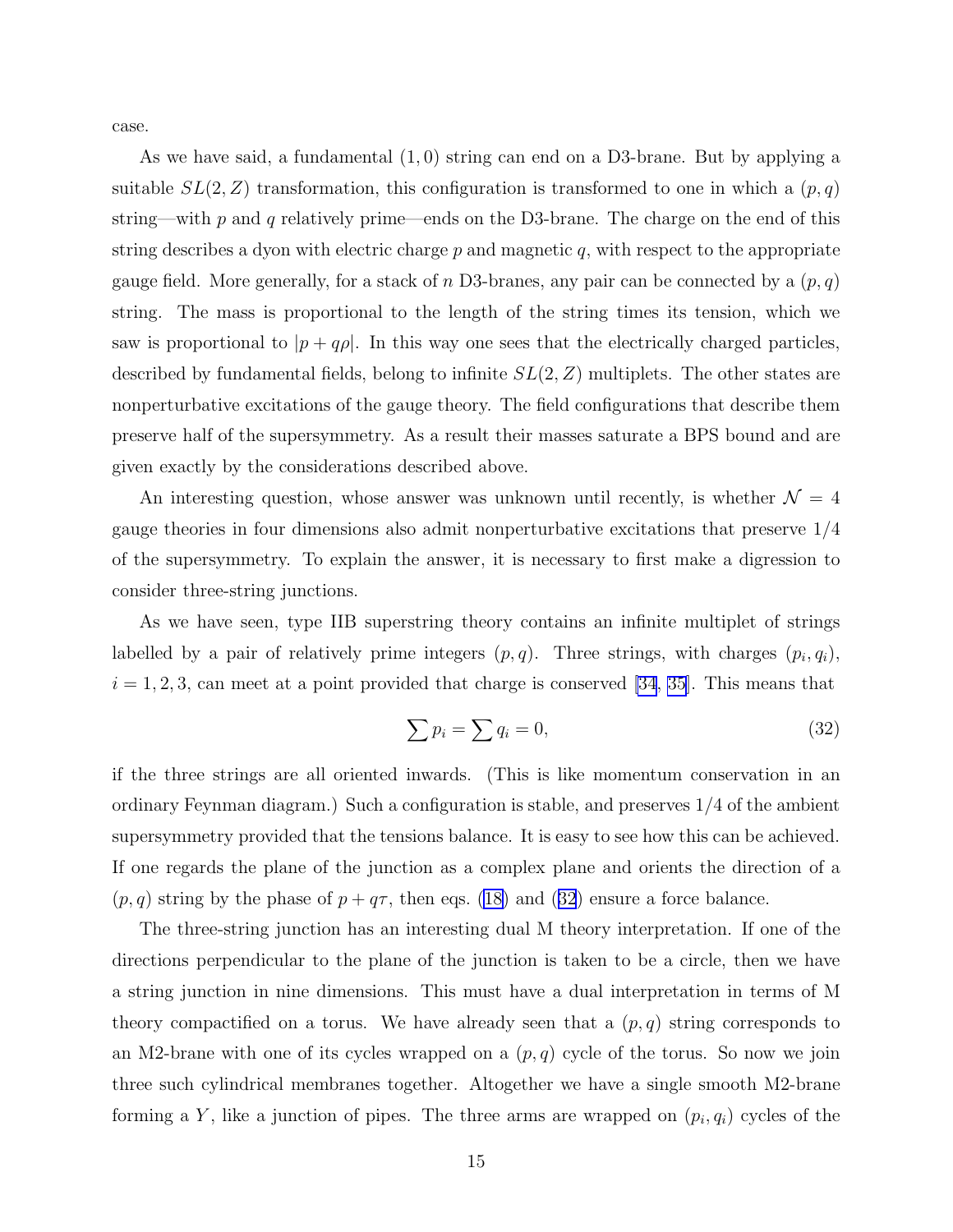<span id="page-15-0"></span>case.

As we have said, a fundamental (1, 0) string can end on a D3-brane. But by applying a suitable  $SL(2, Z)$  transformation, this configuration is transformed to one in which a  $(p, q)$ string—with p and q relatively prime—ends on the D3-brane. The charge on the end of this string describes a dyon with electric charge  $p$  and magnetic  $q$ , with respect to the appropriate gauge field. More generally, for a stack of n D3-branes, any pair can be connected by a  $(p, q)$ string. The mass is proportional to the length of the string times its tension, which we saw is proportional to  $|p + q\rho|$ . In this way one sees that the electrically charged particles, described by fundamental fields, belong to infinite  $SL(2, Z)$  multiplets. The other states are nonperturbative excitations of the gauge theory. The field configurations that describe them preserve half of the supersymmetry. As a result their masses saturate a BPS bound and are given exactly by the considerations described above.

An interesting question, whose answer was unknown until recently, is whether  $\mathcal{N} = 4$ gauge theories in four dimensions also admit nonperturbative excitations that preserve 1/4 of the supersymmetry. To explain the answer, it is necessary to first make a digression to consider three-string junctions.

As we have seen, type IIB superstring theory contains an infinite multiplet of strings labelled by a pair of relatively prime integers  $(p, q)$ . Three strings, with charges  $(p_i, q_i)$ ,  $i = 1, 2, 3$ , can meet at a point provided that charge is conserved [\[34](#page-20-0), [35\]](#page-20-0). This means that

$$
\sum p_i = \sum q_i = 0,\tag{32}
$$

if the three strings are all oriented inwards. (This is like momentum conservation in an ordinary Feynman diagram.) Such a configuration is stable, and preserves 1/4 of the ambient supersymmetry provided that the tensions balance. It is easy to see how this can be achieved. If one regards the plane of the junction as a complex plane and orients the direction of a  $(p, q)$  string by the phase of  $p + q\tau$ , then eqs. [\(18\)](#page-10-0) and (32) ensure a force balance.

The three-string junction has an interesting dual M theory interpretation. If one of the directions perpendicular to the plane of the junction is taken to be a circle, then we have a string junction in nine dimensions. This must have a dual interpretation in terms of M theory compactified on a torus. We have already seen that a  $(p, q)$  string corresponds to an M2-brane with one of its cycles wrapped on a  $(p, q)$  cycle of the torus. So now we join three such cylindrical membranes together. Altogether we have a single smooth M2-brane forming a Y, like a junction of pipes. The three arms are wrapped on  $(p_i, q_i)$  cycles of the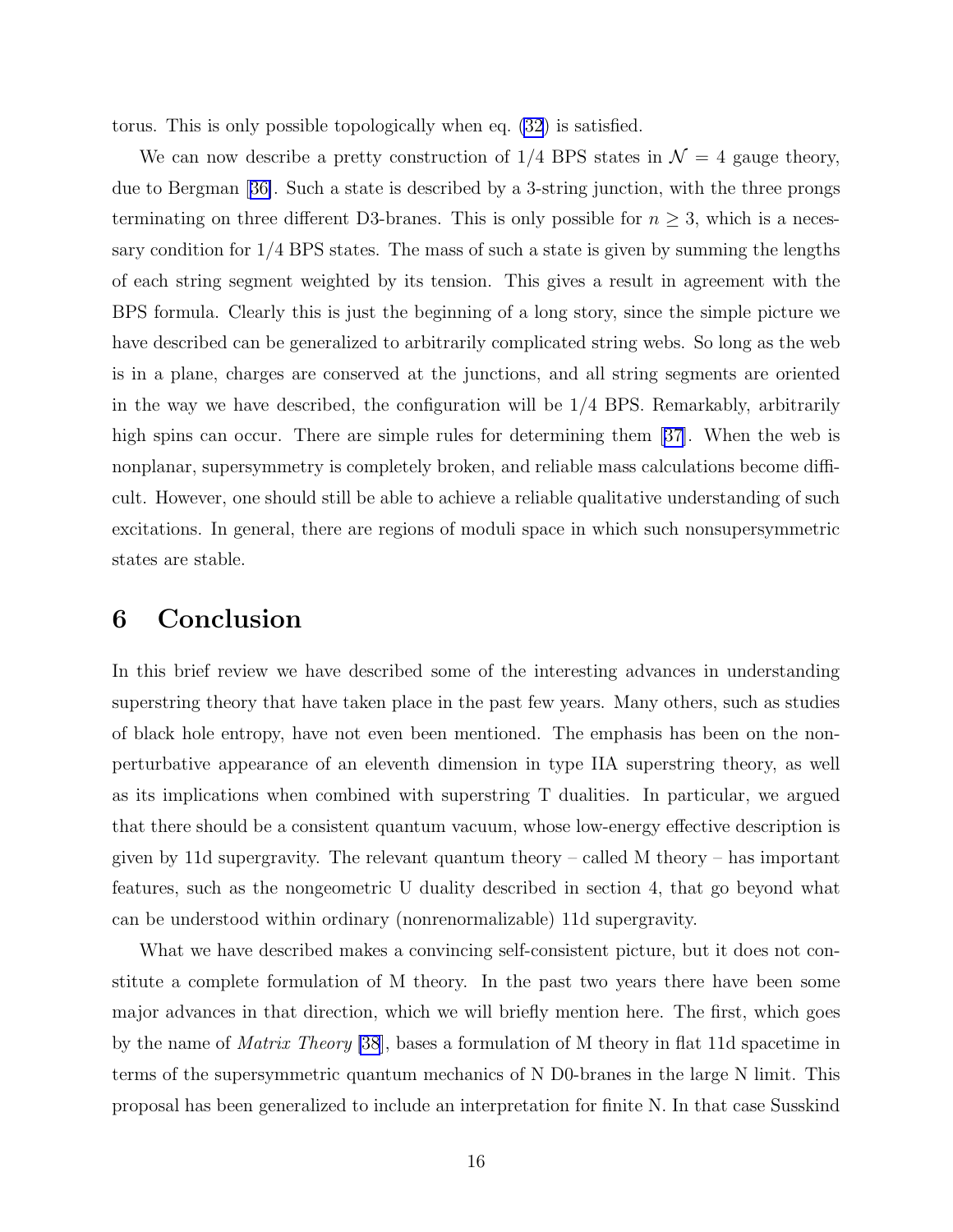torus. This is only possible topologically when eq. [\(32](#page-15-0)) is satisfied.

We can now describe a pretty construction of  $1/4$  BPS states in  $\mathcal{N}=4$  gauge theory, due to Bergman[[36\]](#page-20-0). Such a state is described by a 3-string junction, with the three prongs terminating on three different D3-branes. This is only possible for  $n \geq 3$ , which is a necessary condition for  $1/4$  BPS states. The mass of such a state is given by summing the lengths of each string segment weighted by its tension. This gives a result in agreement with the BPS formula. Clearly this is just the beginning of a long story, since the simple picture we have described can be generalized to arbitrarily complicated string webs. So long as the web is in a plane, charges are conserved at the junctions, and all string segments are oriented in the way we have described, the configuration will be 1/4 BPS. Remarkably, arbitrarily highspins can occur. There are simple rules for determining them [[37\]](#page-20-0). When the web is nonplanar, supersymmetry is completely broken, and reliable mass calculations become difficult. However, one should still be able to achieve a reliable qualitative understanding of such excitations. In general, there are regions of moduli space in which such nonsupersymmetric states are stable.

#### 6 Conclusion

In this brief review we have described some of the interesting advances in understanding superstring theory that have taken place in the past few years. Many others, such as studies of black hole entropy, have not even been mentioned. The emphasis has been on the nonperturbative appearance of an eleventh dimension in type IIA superstring theory, as well as its implications when combined with superstring T dualities. In particular, we argued that there should be a consistent quantum vacuum, whose low-energy effective description is given by 11d supergravity. The relevant quantum theory – called M theory – has important features, such as the nongeometric U duality described in section 4, that go beyond what can be understood within ordinary (nonrenormalizable) 11d supergravity.

What we have described makes a convincing self-consistent picture, but it does not constitute a complete formulation of M theory. In the past two years there have been some major advances in that direction, which we will briefly mention here. The first, which goes by the name of Matrix Theory [\[38](#page-20-0)], bases a formulation of M theory in flat 11d spacetime in terms of the supersymmetric quantum mechanics of N D0-branes in the large N limit. This proposal has been generalized to include an interpretation for finite N. In that case Susskind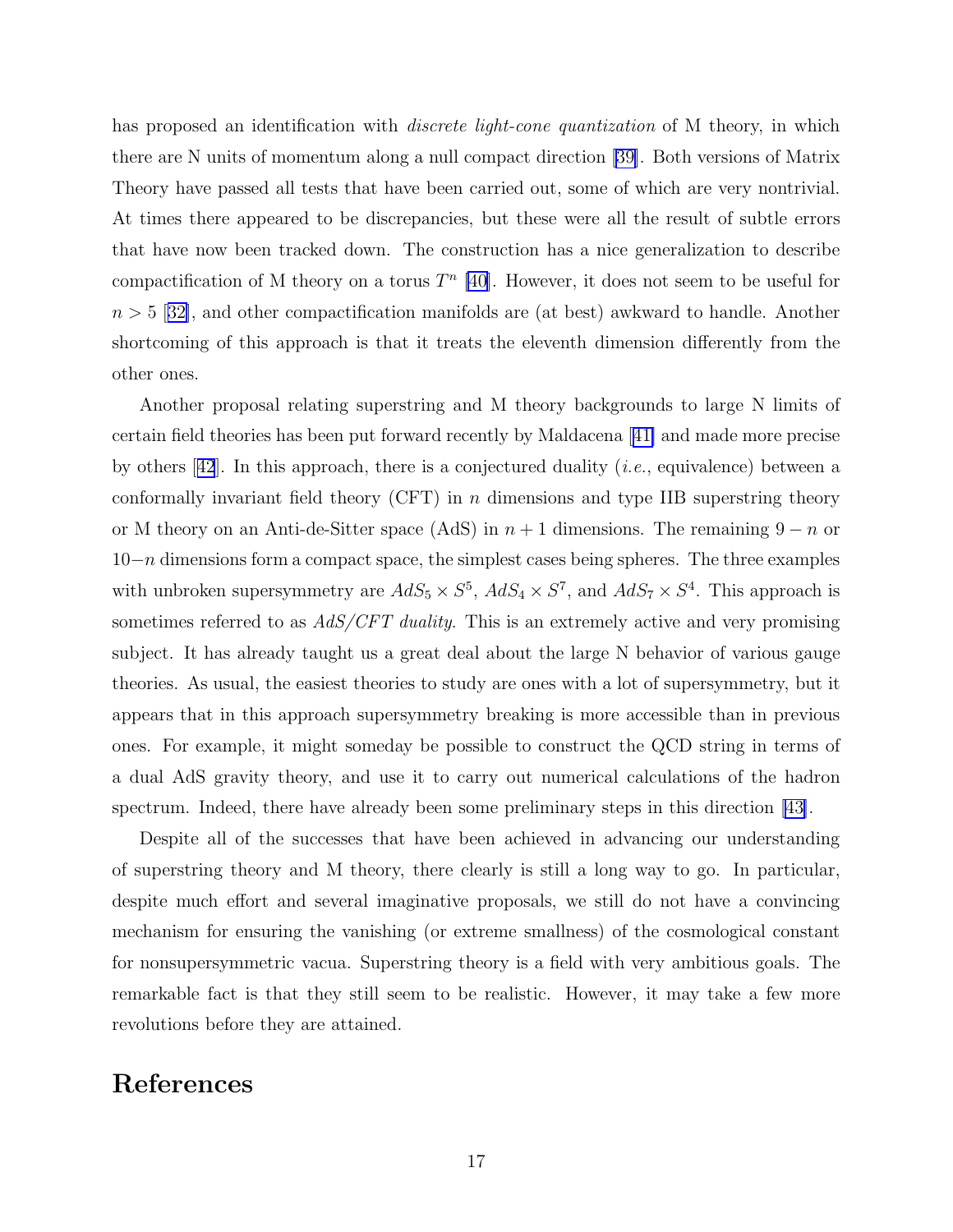<span id="page-17-0"></span>has proposed an identification with *discrete light-cone quantization* of M theory, in which there are N units of momentum along a null compact direction [\[39\]](#page-20-0). Both versions of Matrix Theory have passed all tests that have been carried out, some of which are very nontrivial. At times there appeared to be discrepancies, but these were all the result of subtle errors that have now been tracked down. The construction has a nice generalization to describe compactification of M theory on a torus  $T<sup>n</sup>$  [\[40\]](#page-20-0). However, it does not seem to be useful for  $n > 5$  $n > 5$  $n > 5$  [[32\]](#page-19-0), and other compactification manifolds are (at best) awkward to handle. Another shortcoming of this approach is that it treats the eleventh dimension differently from the other ones.

Another proposal relating superstring and M theory backgrounds to large N limits of certain field theories has been put forward recently by Maldacena[[41\]](#page-20-0) and made more precise byothers  $[42]$  $[42]$  $[42]$ . In this approach, there is a conjectured duality (*i.e.*, equivalence) between a conformally invariant field theory  $(CFT)$  in n dimensions and type IIB superstring theory or M theory on an Anti-de-Sitter space (AdS) in  $n + 1$  dimensions. The remaining  $9 - n$  or  $10-n$  dimensions form a compact space, the simplest cases being spheres. The three examples with unbroken supersymmetry are  $AdS_5 \times S^5$ ,  $AdS_4 \times S^7$ , and  $AdS_7 \times S^4$ . This approach is sometimes referred to as  $AdS/CFT$  duality. This is an extremely active and very promising subject. It has already taught us a great deal about the large N behavior of various gauge theories. As usual, the easiest theories to study are ones with a lot of supersymmetry, but it appears that in this approach supersymmetry breaking is more accessible than in previous ones. For example, it might someday be possible to construct the QCD string in terms of a dual AdS gravity theory, and use it to carry out numerical calculations of the hadron spectrum. Indeed, there have already been some preliminary steps in this direction[[43\]](#page-20-0).

Despite all of the successes that have been achieved in advancing our understanding of superstring theory and M theory, there clearly is still a long way to go. In particular, despite much effort and several imaginative proposals, we still do not have a convincing mechanism for ensuring the vanishing (or extreme smallness) of the cosmological constant for nonsupersymmetric vacua. Superstring theory is a field with very ambitious goals. The remarkable fact is that they still seem to be realistic. However, it may take a few more revolutions before they are attained.

#### References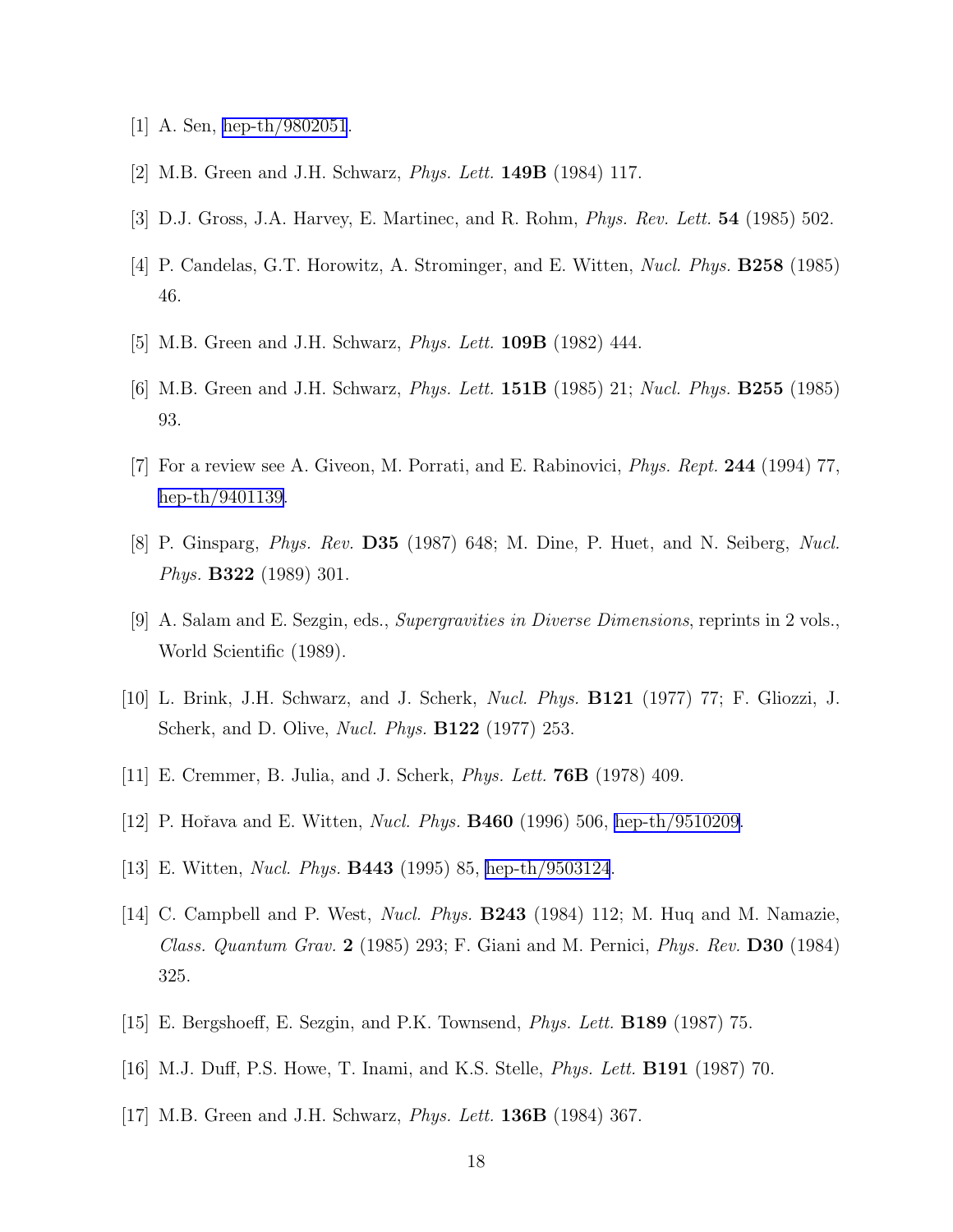- <span id="page-18-0"></span>[1] A. Sen, [hep-th/9802051](http://arXiv.org/abs/hep-th/9802051).
- [2] M.B. Green and J.H. Schwarz, Phys. Lett. 149B (1984) 117.
- [3] D.J. Gross, J.A. Harvey, E. Martinec, and R. Rohm, Phys. Rev. Lett. 54 (1985) 502.
- [4] P. Candelas, G.T. Horowitz, A. Strominger, and E. Witten, Nucl. Phys. B258 (1985) 46.
- [5] M.B. Green and J.H. Schwarz, *Phys. Lett.* **109B** (1982) 444.
- [6] M.B. Green and J.H. Schwarz, Phys. Lett. 151B (1985) 21; Nucl. Phys. B255 (1985) 93.
- [7] For a review see A. Giveon, M. Porrati, and E. Rabinovici, Phys. Rept. 244 (1994) 77, [hep-th/9401139](http://arXiv.org/abs/hep-th/9401139).
- [8] P. Ginsparg, Phys. Rev. D35 (1987) 648; M. Dine, P. Huet, and N. Seiberg, Nucl. Phys. B322 (1989) 301.
- [9] A. Salam and E. Sezgin, eds., Supergravities in Diverse Dimensions, reprints in 2 vols., World Scientific (1989).
- [10] L. Brink, J.H. Schwarz, and J. Scherk, Nucl. Phys. B121 (1977) 77; F. Gliozzi, J. Scherk, and D. Olive, Nucl. Phys. B122 (1977) 253.
- $[11]$  E. Cremmer, B. Julia, and J. Scherk, *Phys. Lett.* **76B** (1978) 409.
- [12] P. Hořava and E. Witten, *Nucl. Phys.* **B460** (1996) 506, [hep-th/9510209](http://arXiv.org/abs/hep-th/9510209).
- [13] E. Witten, Nucl. Phys. B443 (1995) 85, [hep-th/9503124](http://arXiv.org/abs/hep-th/9503124).
- [14] C. Campbell and P. West, Nucl. Phys. B243 (1984) 112; M. Huq and M. Namazie, Class. Quantum Grav. 2 (1985) 293; F. Giani and M. Pernici, Phys. Rev. D30 (1984) 325.
- [15] E. Bergshoeff, E. Sezgin, and P.K. Townsend, Phys. Lett. B189 (1987) 75.
- [16] M.J. Duff, P.S. Howe, T. Inami, and K.S. Stelle, Phys. Lett. B191 (1987) 70.
- [17] M.B. Green and J.H. Schwarz, Phys. Lett. 136B (1984) 367.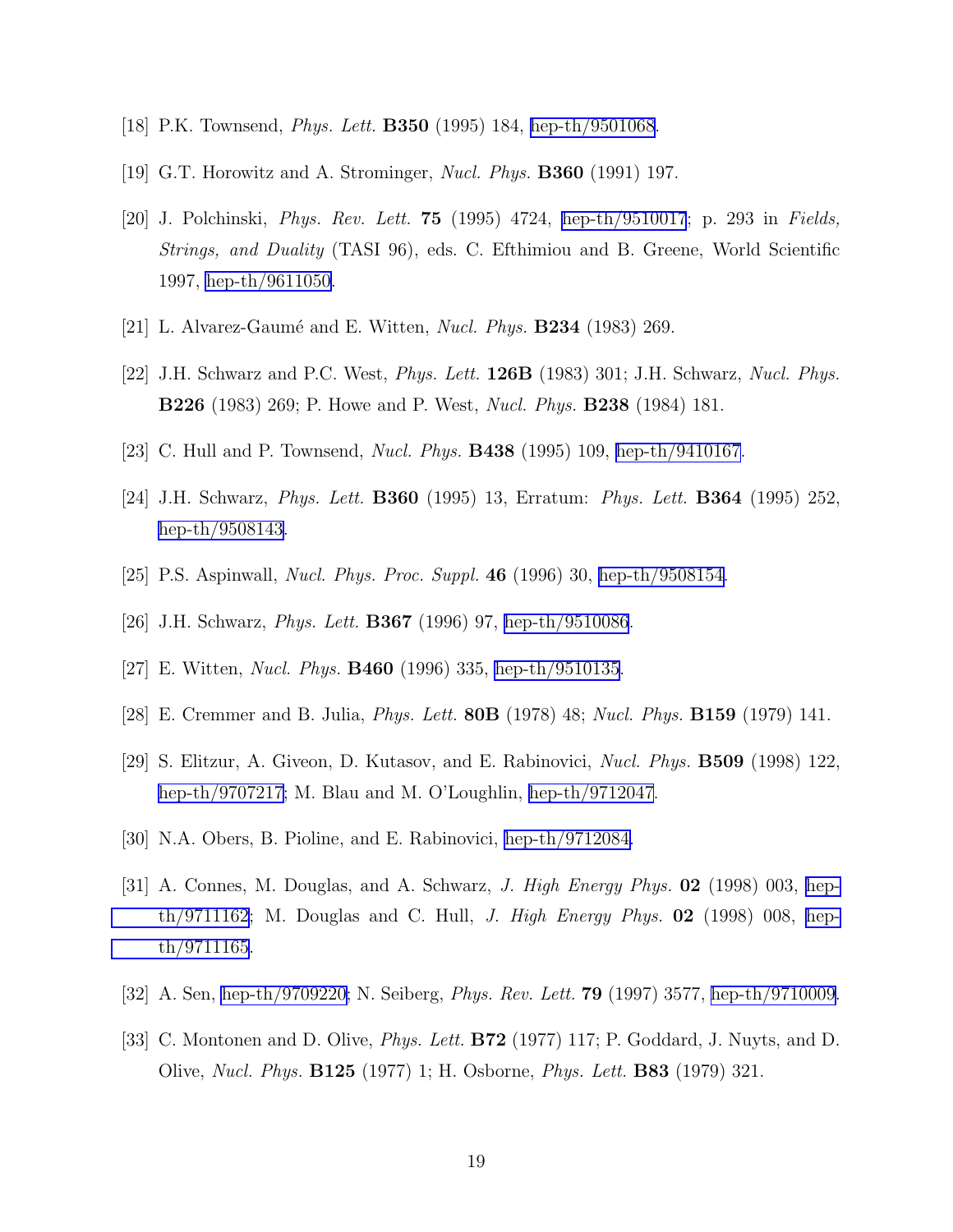- <span id="page-19-0"></span>[18] P.K. Townsend, Phys. Lett. B350 (1995) 184, [hep-th/9501068.](http://arXiv.org/abs/hep-th/9501068)
- [19] G.T. Horowitz and A. Strominger, Nucl. Phys. B360 (1991) 197.
- [20] J. Polchinski, Phys. Rev. Lett. 75 (1995) 4724, [hep-th/9510017](http://arXiv.org/abs/hep-th/9510017); p. 293 in Fields, Strings, and Duality (TASI 96), eds. C. Efthimiou and B. Greene, World Scientific 1997, [hep-th/9611050.](http://arXiv.org/abs/hep-th/9611050)
- [21] L. Alvarez-Gaumé and E. Witten, *Nucl. Phys.* **B234** (1983) 269.
- [22] J.H. Schwarz and P.C. West, Phys. Lett. 126B (1983) 301; J.H. Schwarz, Nucl. Phys. B226 (1983) 269; P. Howe and P. West, Nucl. Phys. B238 (1984) 181.
- [23] C. Hull and P. Townsend, Nucl. Phys. B438 (1995) 109, [hep-th/9410167.](http://arXiv.org/abs/hep-th/9410167)
- [24] J.H. Schwarz, Phys. Lett. B360 (1995) 13, Erratum: Phys. Lett. B364 (1995) 252, [hep-th/9508143](http://arXiv.org/abs/hep-th/9508143).
- [25] P.S. Aspinwall, Nucl. Phys. Proc. Suppl. 46 (1996) 30, [hep-th/9508154.](http://arXiv.org/abs/hep-th/9508154)
- [26] J.H. Schwarz, *Phys. Lett.* **B367** (1996) 97, [hep-th/9510086](http://arXiv.org/abs/hep-th/9510086).
- [27] E. Witten, Nucl. Phys. B460 (1996) 335, [hep-th/9510135](http://arXiv.org/abs/hep-th/9510135).
- [28] E. Cremmer and B. Julia, Phys. Lett. 80B (1978) 48; Nucl. Phys. B159 (1979) 141.
- [29] S. Elitzur, A. Giveon, D. Kutasov, and E. Rabinovici, Nucl. Phys. B509 (1998) 122, [hep-th/9707217](http://arXiv.org/abs/hep-th/9707217); M. Blau and M. O'Loughlin, [hep-th/9712047](http://arXiv.org/abs/hep-th/9712047).
- [30] N.A. Obers, B. Pioline, and E. Rabinovici, [hep-th/9712084.](http://arXiv.org/abs/hep-th/9712084)
- [31] A. Connes, M. Douglas, and A. Schwarz, *J. High Energy Phys.* **02** (1998) 003, [hep](http://arXiv.org/abs/hep-th/9711162)[th/9711162](http://arXiv.org/abs/hep-th/9711162); M. Douglas and C. Hull, J. High Energy Phys.  $\mathbf{02}$  (1998) 008, [hep](http://arXiv.org/abs/hep-th/9711165)[th/9711165](http://arXiv.org/abs/hep-th/9711165).
- [32] A. Sen, [hep-th/9709220;](http://arXiv.org/abs/hep-th/9709220) N. Seiberg, Phys. Rev. Lett. 79 (1997) 3577, [hep-th/9710009.](http://arXiv.org/abs/hep-th/9710009)
- [33] C. Montonen and D. Olive, *Phys. Lett.* **B72** (1977) 117; P. Goddard, J. Nuyts, and D. Olive, Nucl. Phys. B125 (1977) 1; H. Osborne, Phys. Lett. B83 (1979) 321.